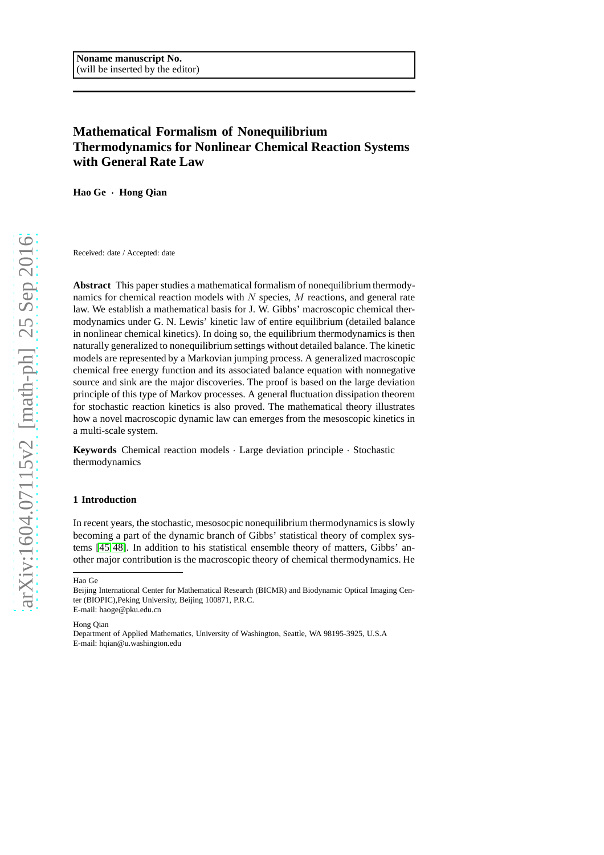# **Mathematical Formalism of Nonequilibrium Thermodynamics for Nonlinear Chemical Reaction Systems with General Rate Law**

**Hao Ge** · **Hong Qian**

Received: date / Accepted: date

**Abstract** This paper studies a mathematical formalism of nonequilibrium thermodynamics for chemical reaction models with  $N$  species,  $M$  reactions, and general rate law. We establish a mathematical basis for J. W. Gibbs' macroscopic chemical thermodynamics under G. N. Lewis' kinetic law of entire equilibrium (detailed balance in nonlinear chemical kinetics). In doing so, the equilibrium thermodynamics is then naturally generalized to nonequilibrium settings without detailed balance. The kinetic models are represented by a Markovian jumping process. A generalized macroscopic chemical free energy function and its associated balance equation with nonnegative source and sink are the major discoveries. The proof is based on the large deviation principle of this type of Markov processes. A general fluctuation dissipation theorem for stochastic reaction kinetics is also proved. The mathematical theory illustrates how a novel macroscopic dynamic law can emerges from the mesoscopic kinetics in a multi-scale system.

**Keywords** Chemical reaction models · Large deviation principle · Stochastic thermodynamics

#### **1 Introduction**

In recent years, the stochastic, mesosocpic nonequilibrium thermodynamics is slowly becoming a part of the dynamic branch of Gibbs' statistical theory of complex systems [\[45,](#page-21-0)[48\]](#page-21-1). In addition to his statistical ensemble theory of matters, Gibbs' another major contribution is the macroscopic theory of chemical thermodynamics. He

Hao Ge

Hong Qian

Department of Applied Mathematics, University of Washington, Seattle, WA 98195-3925, U.S.A E-mail: hqian@u.washington.edu

Beijing International Center for Mathematical Research (BICMR) and Biodynamic Optical Imaging Center (BIOPIC),Peking University, Beijing 100871, P.R.C. E-mail: haoge@pku.edu.cn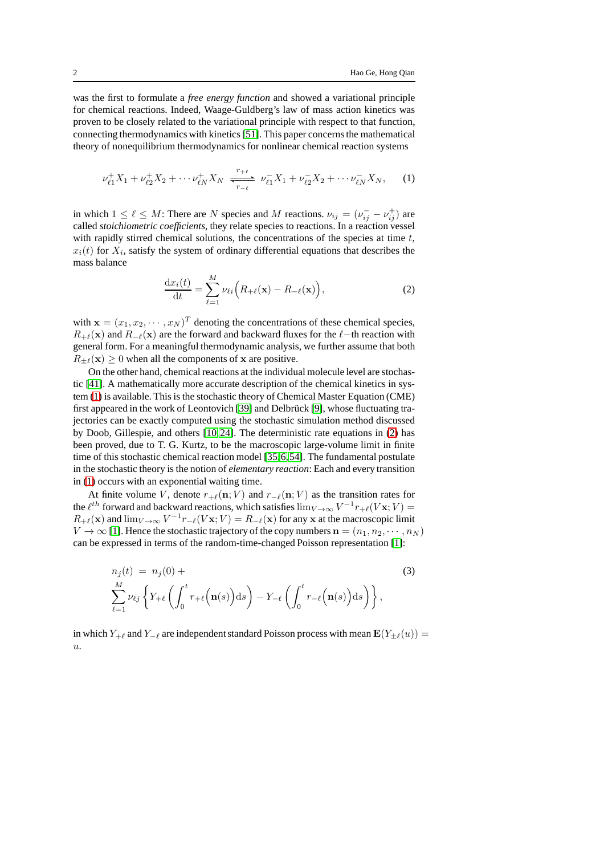was the first to formulate a *free energy function* and showed a variational principle for chemical reactions. Indeed, Waage-Guldberg's law of mass action kinetics was proven to be closely related to the variational principle with respect to that function, connecting thermodynamics with kinetics [\[51\]](#page-21-2). This paper concerns the mathematical theory of nonequilibrium thermodynamics for nonlinear chemical reaction systems

<span id="page-1-0"></span>
$$
\nu_{\ell 1}^+ X_1 + \nu_{\ell 2}^+ X_2 + \cdots \nu_{\ell N}^+ X_N \xrightarrow[r_{-\ell}]{r_{+\ell}} \nu_{\ell 1}^- X_1 + \nu_{\ell 2}^- X_2 + \cdots \nu_{\ell N}^- X_N, \qquad (1)
$$

in which  $1 \leq \ell \leq M$ : There are N species and M reactions.  $\nu_{ij} = (\nu_{ij}^- - \nu_{ij}^+)$  are called *stoichiometric coefficients*, they relate species to reactions. In a reaction vessel with rapidly stirred chemical solutions, the concentrations of the species at time  $t$ ,  $x_i(t)$  for  $X_i$ , satisfy the system of ordinary differential equations that describes the mass balance

<span id="page-1-1"></span>
$$
\frac{\mathrm{d}x_i(t)}{\mathrm{d}t} = \sum_{\ell=1}^M \nu_{\ell i} \Big( R_{+\ell}(\mathbf{x}) - R_{-\ell}(\mathbf{x}) \Big),\tag{2}
$$

with  $\mathbf{x} = (x_1, x_2, \dots, x_N)^T$  denoting the concentrations of these chemical species,  $R_{+\ell}(\mathbf{x})$  and  $R_{-\ell}(\mathbf{x})$  are the forward and backward fluxes for the  $\ell$ -th reaction with general form. For a meaningful thermodynamic analysis, we further assume that both  $R_{\pm\ell}(\mathbf{x}) \geq 0$  when all the components of x are positive.

On the other hand, chemical reactions at the individual molecule level are stochastic [\[41\]](#page-20-0). A mathematically more accurate description of the chemical kinetics in system [\(1\)](#page-1-0) is available. This is the stochastic theory of Chemical Master Equation (CME) first appeared in the work of Leontovich [\[39\]](#page-20-1) and Delbrück [\[9\]](#page-19-0), whose fluctuating trajectories can be exactly computed using the stochastic simulation method discussed by Doob, Gillespie, and others [\[10,](#page-19-1)[24\]](#page-20-2). The deterministic rate equations in [\(2\)](#page-1-1) has been proved, due to T. G. Kurtz, to be the macroscopic large-volume limit in finite time of this stochastic chemical reaction model [\[35,](#page-20-3)[6,](#page-19-2)[54\]](#page-21-3). The fundamental postulate in the stochastic theory is the notion of *elementary reaction*: Each and every transition in [\(1\)](#page-1-0) occurs with an exponential waiting time.

At finite volume V, denote  $r_{+\ell}(n; V)$  and  $r_{-\ell}(n; V)$  as the transition rates for the  $\ell^{th}$  forward and backward reactions, which satisfies  $\lim_{V\to\infty} V^{-1}r_{+\ell}(V\mathbf{x};V)$  =  $R_{+\ell}(\mathbf{x})$  and  $\lim_{V \to \infty} V^{-1} r_{-\ell}(V\mathbf{x}; V) = R_{-\ell}(\mathbf{x})$  for any x at the macroscopic limit  $V \to \infty$  [\[1\]](#page-19-3). Hence the stochastic trajectory of the copy numbers  $\mathbf{n} = (n_1, n_2, \cdots, n_N)$ can be expressed in terms of the random-time-changed Poisson representation [\[1\]](#page-19-3):

$$
n_j(t) = n_j(0) + \sum_{\ell=1}^{M} \nu_{\ell j} \left\{ Y_{+\ell} \left( \int_0^t r_{+\ell}(\mathbf{n}(s)) \, ds \right) - Y_{-\ell} \left( \int_0^t r_{-\ell}(\mathbf{n}(s)) \, ds \right) \right\},
$$
\n(3)

in which  $Y_{+\ell}$  and  $Y_{-\ell}$  are independent standard Poisson process with mean  $\mathbf{E}(Y_{\pm\ell}(u))$  =  $u_{\cdot}$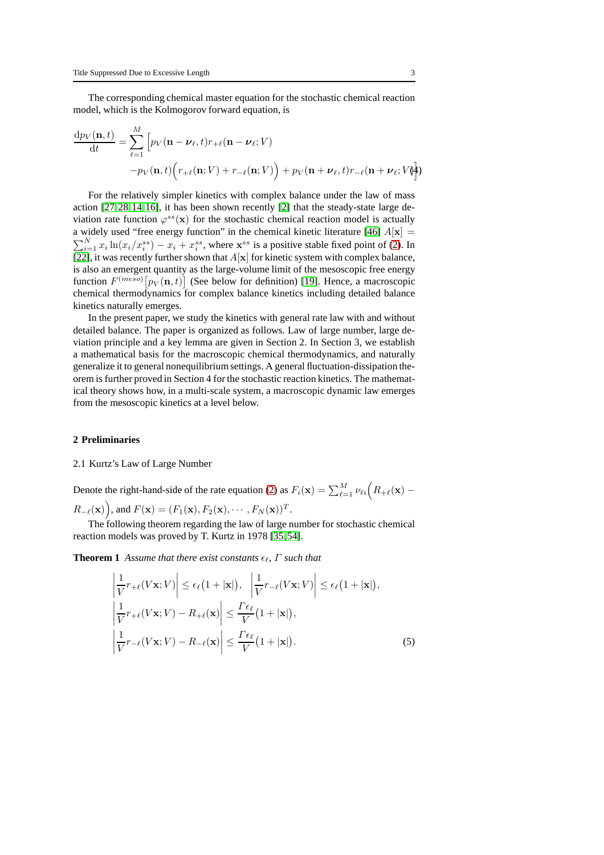The corresponding chemical master equation for the stochastic chemical reaction model, which is the Kolmogorov forward equation, is

<span id="page-2-0"></span>
$$
\frac{dp_V(\mathbf{n},t)}{dt} = \sum_{\ell=1}^M \Big[ p_V(\mathbf{n} - \boldsymbol{\nu}_{\ell},t) r_{+\ell}(\mathbf{n} - \boldsymbol{\nu}_{\ell};V) -p_V(\mathbf{n},t) \Big( r_{+\ell}(\mathbf{n};V) + r_{-\ell}(\mathbf{n};V) \Big) + p_V(\mathbf{n} + \boldsymbol{\nu}_{\ell},t) r_{-\ell}(\mathbf{n} + \boldsymbol{\nu}_{\ell};V) \Big]
$$

For the relatively simpler kinetics with complex balance under the law of mass action [\[27,](#page-20-4)[28,](#page-20-5)[14,](#page-20-6)[16\]](#page-20-7), it has been shown recently [\[2\]](#page-19-4) that the steady-state large deviation rate function  $\varphi^{ss}(\mathbf{x})$  for the stochastic chemical reaction model is actually a widely used "free energy function" in the chemical kinetic literature [\[46\]](#page-21-4)  $A[x] =$  $\sum_{i=1}^{N} x_i \ln(x_i/x_i^{ss}) - x_i + x_i^{ss}$ , where  $\mathbf{x}^{ss}$  is a positive stable fixed point of [\(2\)](#page-1-1). In [\[22\]](#page-20-8), it was recently further shown that  $A[x]$  for kinetic system with complex balance, is also an emergent quantity as the large-volume limit of the mesoscopic free energy function  $F^{(meso)}[p_V(\mathbf{n},t)]$  (See below for definition) [\[19\]](#page-20-9). Hence, a macroscopic chemical thermodynamics for complex balance kinetics including detailed balance kinetics naturally emerges.

In the present paper, we study the kinetics with general rate law with and without detailed balance. The paper is organized as follows. Law of large number, large deviation principle and a key lemma are given in Section 2. In Section 3, we establish a mathematical basis for the macroscopic chemical thermodynamics, and naturally generalize it to general nonequilibrium settings. A general fluctuation-dissipation theorem is further proved in Section 4 for the stochastic reaction kinetics. The mathematical theory shows how, in a multi-scale system, a macroscopic dynamic law emerges from the mesoscopic kinetics at a level below.

## **2 Preliminaries**

#### 2.1 Kurtz's Law of Large Number

Denote the right-hand-side of the rate equation [\(2\)](#page-1-1) as  $F_i(\mathbf{x}) = \sum_{\ell=1}^{M} \nu_{\ell i} (R_{+\ell}(\mathbf{x}) R_{-\ell}(\mathbf{x})\bigg)$ , and  $F(\mathbf{x}) = (F_1(\mathbf{x}), F_2(\mathbf{x}), \cdots, F_N(\mathbf{x}))^T$ .

The following theorem regarding the law of large number for stochastic chemical reaction models was proved by T. Kurtz in 1978 [\[35,](#page-20-3)[54\]](#page-21-3).

**Theorem 1** Assume that there exist constants  $\epsilon_{\ell}$ ,  $\Gamma$  such that

$$
\left| \frac{1}{V} r_{+\ell}(V\mathbf{x}; V) \right| \le \epsilon_{\ell} (1 + |\mathbf{x}|), \quad \left| \frac{1}{V} r_{-\ell}(V\mathbf{x}; V) \right| \le \epsilon_{\ell} (1 + |\mathbf{x}|),
$$
\n
$$
\left| \frac{1}{V} r_{+\ell}(V\mathbf{x}; V) - R_{+\ell}(\mathbf{x}) \right| \le \frac{\Gamma \epsilon_{\ell}}{V} (1 + |\mathbf{x}|),
$$
\n
$$
\left| \frac{1}{V} r_{-\ell}(V\mathbf{x}; V) - R_{-\ell}(\mathbf{x}) \right| \le \frac{\Gamma \epsilon_{\ell}}{V} (1 + |\mathbf{x}|).
$$
\n(5)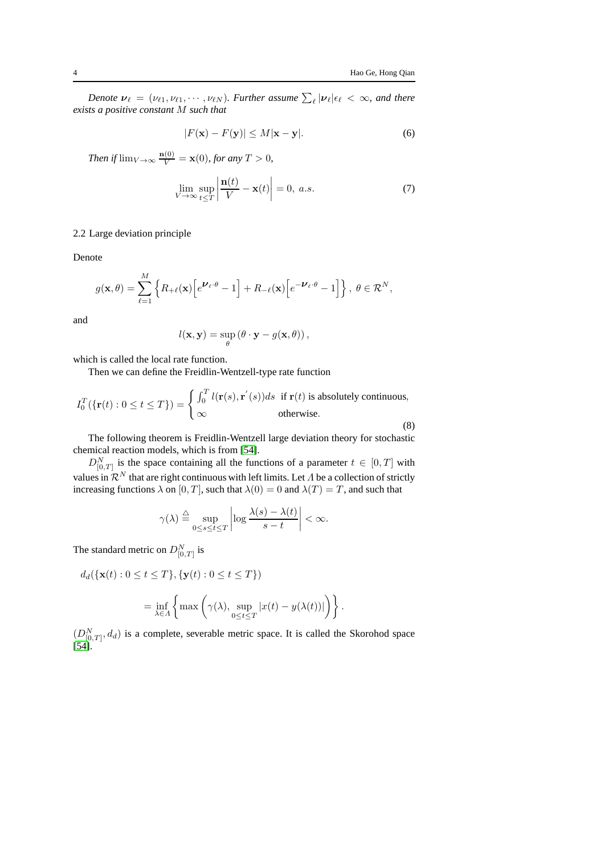*Denote*  $v_{\ell} = (v_{\ell 1}, v_{\ell 1}, \cdots, v_{\ell N})$ *. Further assume*  $\sum_{\ell} |v_{\ell}| \epsilon_{\ell} < \infty$ *, and there exists a positive constant* M *such that*

$$
|F(\mathbf{x}) - F(\mathbf{y})| \le M|\mathbf{x} - \mathbf{y}|.
$$
 (6)

*Then if*  $\lim_{V \to \infty} \frac{\mathbf{n}(0)}{V} = \mathbf{x}(0)$ *, for any*  $T > 0$ *,* 

<span id="page-3-1"></span>
$$
\lim_{V \to \infty} \sup_{t \le T} \left| \frac{\mathbf{n}(t)}{V} - \mathbf{x}(t) \right| = 0, \ a.s. \tag{7}
$$

# 2.2 Large deviation principle

Denote

$$
g(\mathbf{x},\theta) = \sum_{\ell=1}^M \left\{ R_{+\ell}(\mathbf{x}) \left[ e^{\mathbf{U}_{\ell}\cdot\theta} - 1 \right] + R_{-\ell}(\mathbf{x}) \left[ e^{-\mathbf{U}_{\ell}\cdot\theta} - 1 \right] \right\}, \ \theta \in \mathcal{R}^N,
$$

and

$$
l(\mathbf{x}, \mathbf{y}) = \sup_{\theta} (\theta \cdot \mathbf{y} - g(\mathbf{x}, \theta)),
$$

which is called the local rate function.

Then we can define the Freidlin-Wentzell-type rate function

$$
I_0^T(\{\mathbf{r}(t): 0 \le t \le T\}) = \begin{cases} \int_0^T l(\mathbf{r}(s), \mathbf{r}'(s))ds & \text{if } \mathbf{r}(t) \text{ is absolutely continuous,} \\ \infty & \text{otherwise.} \end{cases}
$$
(8)

The following theorem is Freidlin-Wentzell large deviation theory for stochastic chemical reaction models, which is from [\[54\]](#page-21-3).

 $D_{[0,T]}^N$  is the space containing all the functions of a parameter  $t \in [0,T]$  with values in  $\mathcal{R}^N$  that are right continuous with left limits. Let  $\Lambda$  be a collection of strictly increasing functions  $\lambda$  on  $[0, T]$ , such that  $\lambda(0) = 0$  and  $\lambda(T) = T$ , and such that

$$
\gamma(\lambda) \stackrel{\triangle}{=} \sup_{0 \le s \le t \le T} \left| \log \frac{\lambda(s) - \lambda(t)}{s - t} \right| < \infty.
$$

The standard metric on  $D_{[0,T]}^N$  is

$$
d_d(\{\mathbf{x}(t):0\leq t\leq T\},\{\mathbf{y}(t):0\leq t\leq T\})
$$

$$
= \inf_{\lambda \in \Lambda} \left\{ \max \left( \gamma(\lambda), \sup_{0 \le t \le T} |x(t) - y(\lambda(t))| \right) \right\}.
$$

<span id="page-3-0"></span> $(D_{[0,T]}^N, d_d)$  is a complete, severable metric space. It is called the Skorohod space [\[54\]](#page-21-3).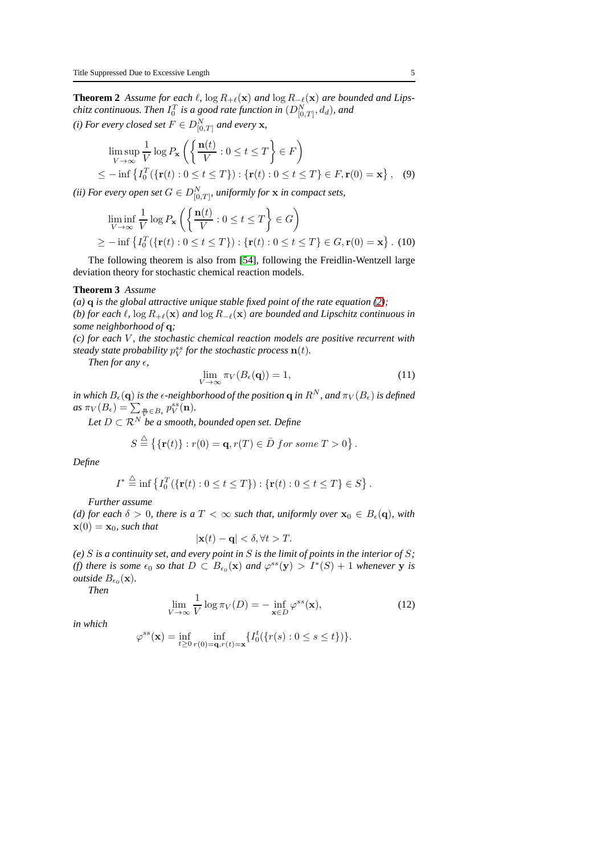**Theorem 2** Assume for each  $\ell$ ,  $\log R_{+\ell}(\mathbf{x})$  and  $\log R_{-\ell}(\mathbf{x})$  are bounded and Lips- $\emph{chitz continuous.}$  Then  $I_0^T$  is a good rate function in  $(D^N_{[0,T]}, d_d)$ , and *(i) For every closed set*  $F \in D_{[0,T]}^N$  and every **x**,

$$
\limsup_{V \to \infty} \frac{1}{V} \log P_{\mathbf{x}} \left( \left\{ \frac{\mathbf{n}(t)}{V} : 0 \le t \le T \right\} \in F \right)
$$
\n
$$
\le - \inf \left\{ I_0^T (\{ \mathbf{r}(t) : 0 \le t \le T \}) : \{ \mathbf{r}(t) : 0 \le t \le T \} \in F, \mathbf{r}(0) = \mathbf{x} \right\}, \quad (9)
$$

(*ii) For every open set*  $G \in D^N_{[0,T]},$  uniformly for  ${\bf x}$  in compact sets,

$$
\liminf_{V \to \infty} \frac{1}{V} \log P_{\mathbf{x}} \left( \left\{ \frac{\mathbf{n}(t)}{V} : 0 \le t \le T \right\} \in G \right)
$$
\n
$$
\ge - \inf \left\{ I_0^T (\{ \mathbf{r}(t) : 0 \le t \le T \}) : \{ \mathbf{r}(t) : 0 \le t \le T \} \in G, \mathbf{r}(0) = \mathbf{x} \right\}. \tag{10}
$$

The following theorem is also from [\[54\]](#page-21-3), following the Freidlin-Wentzell large deviation theory for stochastic chemical reaction models.

#### **Theorem 3** *Assume*

*(a)* q *is the global attractive unique stable fixed point of the rate equation [\(2\)](#page-1-1); (b) for each*  $\ell$ ,  $\log R_{+\ell}(\mathbf{x})$  *and*  $\log R_{-\ell}(\mathbf{x})$  *are bounded and Lipschitz continuous in some neighborhood of* q*;*

*(c) for each* V *, the stochastic chemical reaction models are positive recurrent with steady state probability*  $p_V^{ss}$  *for the stochastic process*  $\mathbf{n}(t)$ *.* 

*Then for any*  $\epsilon$ *,* 

<span id="page-4-1"></span>
$$
\lim_{V \to \infty} \pi_V(B_{\epsilon}(\mathbf{q})) = 1,\tag{11}
$$

 $i$ *n which*  $B_\epsilon(\mathbf{q})$  *is the*  $\epsilon$ *-neighborhood of the position*  $\mathbf{q}$  *in*  $R^N$ *, and*  $\pi_V(B_\epsilon)$  *is defined*  $as \pi_V(B_\epsilon) = \sum_{\substack{\mathbf{n} \ F}} B_\epsilon p_V^{ss}(\mathbf{n}).$ 

*Let*  $D \subset \mathbb{R}^N$  *be a smooth, bounded open set. Define* 

$$
S \stackrel{\triangle}{=} \{ \{ \mathbf{r}(t) \} : r(0) = \mathbf{q}, r(T) \in \overline{D} \text{ for some } T > 0 \} .
$$

*Define*

$$
I^* \stackrel{\triangle}{=} \inf \left\{ I_0^T(\{\mathbf{r}(t): 0 \le t \le T\}) : \{\mathbf{r}(t): 0 \le t \le T\} \in S \right\}.
$$

*Further assume*

*(d) for each*  $\delta > 0$ *, there is a*  $T < \infty$  *such that, uniformly over*  $\mathbf{x}_0 \in B_{\epsilon}(\mathbf{q})$ *, with*  $\mathbf{x}(0) = \mathbf{x}_0$ *, such that* 

$$
|\mathbf{x}(t) - \mathbf{q}| < \delta, \forall t > T.
$$

*(e)* S *is a continuity set, and every point in* S *is the limit of points in the interior of* S*; (f)* there is some  $\epsilon_0$  so that  $D \subset B_{\epsilon_0}(\mathbf{x})$  and  $\varphi^{ss}(\mathbf{y}) > I^*(S) + 1$  whenever **y** is *outside*  $B_{\epsilon_0}(\mathbf{x})$ .

*Then*

<span id="page-4-0"></span>
$$
\lim_{V \to \infty} \frac{1}{V} \log \pi_V(D) = - \inf_{\mathbf{x} \in D} \varphi^{ss}(\mathbf{x}),\tag{12}
$$

*in which*

$$
\varphi^{ss}(\mathbf{x}) = \inf_{t \ge 0} \inf_{r(0) = \mathbf{q}, r(t) = \mathbf{x}} \{ I_0^t(\{r(s) : 0 \le s \le t \}) \}.
$$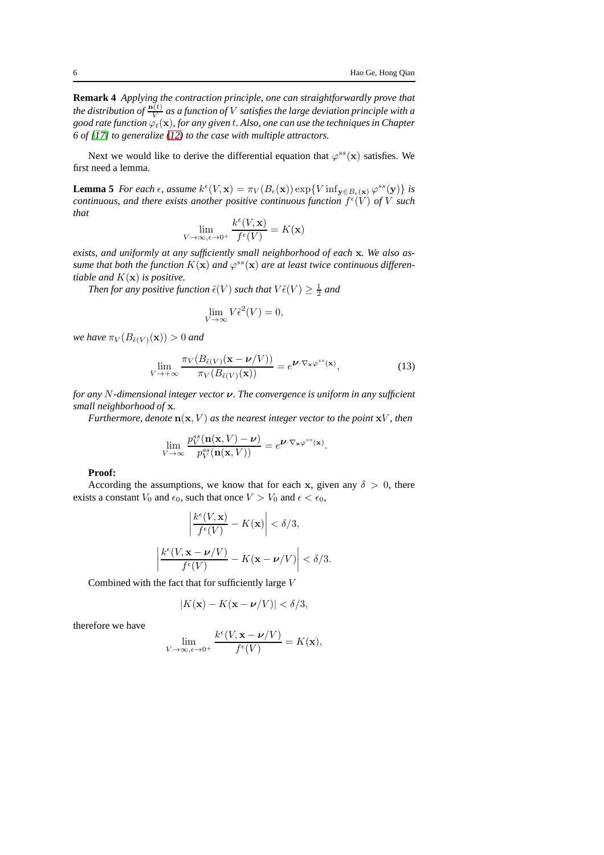**Remark 4** *Applying the contraction principle, one can straightforwardly prove that* the distribution of  $\frac{\mathbf{n}(t)}{V}$  as a function of  $V$  satisfies the large deviation principle with a *good rate function*  $\varphi_t(\mathbf{x})$ *, for any given t. Also, one can use the techniques in Chapter 6 of [\[17\]](#page-20-10) to generalize [\(12\)](#page-4-0) to the case with multiple attractors.*

<span id="page-5-1"></span>Next we would like to derive the differential equation that  $\varphi^{ss}(\mathbf{x})$  satisfies. We first need a lemma.

**Lemma 5** *For each*  $\epsilon$ *, assume*  $k^{\epsilon}(V, \mathbf{x}) = \pi_V(B_{\epsilon}(\mathbf{x})) \exp\{V \inf_{\mathbf{y} \in B_{\epsilon}(\mathbf{x})} \varphi^{ss}(\mathbf{y})\}$  *is* continuous, and there exists another positive continuous function  $f^{\epsilon}(V)$  of V such *that*

$$
\lim_{V \to \infty, \epsilon \to 0^+} \frac{k^{\epsilon}(V, \mathbf{x})}{f^{\epsilon}(V)} = K(\mathbf{x})
$$

*exists, and uniformly at any sufficiently small neighborhood of each* x*. We also as*sume that both the function  $K(\mathbf{x})$  and  $\varphi^{ss}(\mathbf{x})$  are at least twice continuous differen*tiable and* K(x) *is positive.*

Then for any positive function  $\tilde{\epsilon}(V)$  such that  $V\tilde{\epsilon}(V) \geq \frac{1}{2}$  and

$$
\lim_{V \to \infty} V \tilde{\epsilon}^2(V) = 0,
$$

*we have*  $\pi_V(B_{\tilde{\epsilon}(V)}(\mathbf{x})) > 0$  *and* 

<span id="page-5-0"></span>
$$
\lim_{V \to +\infty} \frac{\pi_V(B_{\tilde{\epsilon}(V)}(\mathbf{x} - \boldsymbol{\nu}/V))}{\pi_V(B_{\tilde{\epsilon}(V)}(\mathbf{x}))} = e^{\boldsymbol{\nu} \cdot \nabla_{\mathbf{x}} \varphi^{ss}(\mathbf{x})},\tag{13}
$$

*for any* N*-dimensional integer vector* ν*. The convergence is uniform in any sufficient small neighborhood of* x*.*

*Furthermore, denote*  $n(x, V)$  *as the nearest integer vector to the point*  $xV$ *, then* 

$$
\lim_{V \to \infty} \frac{p_V^{ss}(\mathbf{n}(\mathbf{x}, V) - \boldsymbol{\nu})}{p_V^{ss}(\mathbf{n}(\mathbf{x}, V))} = e^{\boldsymbol{\nu} \cdot \nabla_{\mathbf{x}} \varphi^{ss}(\mathbf{x})}.
$$

#### **Proof:**

According the assumptions, we know that for each x, given any  $\delta > 0$ , there exists a constant  $V_0$  and  $\epsilon_0$ , such that once  $V > V_0$  and  $\epsilon < \epsilon_0$ ,

$$
\left| \frac{k^{\epsilon}(V, \mathbf{x})}{f^{\epsilon}(V)} - K(\mathbf{x}) \right| < \delta/3,
$$
\n
$$
\frac{k^{\epsilon}(V, \mathbf{x} - \nu/V)}{f^{\epsilon}(V)} - K(\mathbf{x} - \nu/V) \right| < \delta/3.
$$

Combined with the fact that for sufficiently large V

 $\overline{\phantom{a}}$  $\overline{\phantom{a}}$  $\overline{\phantom{a}}$  $\overline{\phantom{a}}$ 

$$
|K(\mathbf{x}) - K(\mathbf{x} - \boldsymbol{\nu}/V)| < \delta/3,
$$

therefore we have

$$
\lim_{V \to \infty, \epsilon \to 0^+} \frac{k^{\epsilon}(V, \mathbf{x} - \nu/V)}{f^{\epsilon}(V)} = K(\mathbf{x}),
$$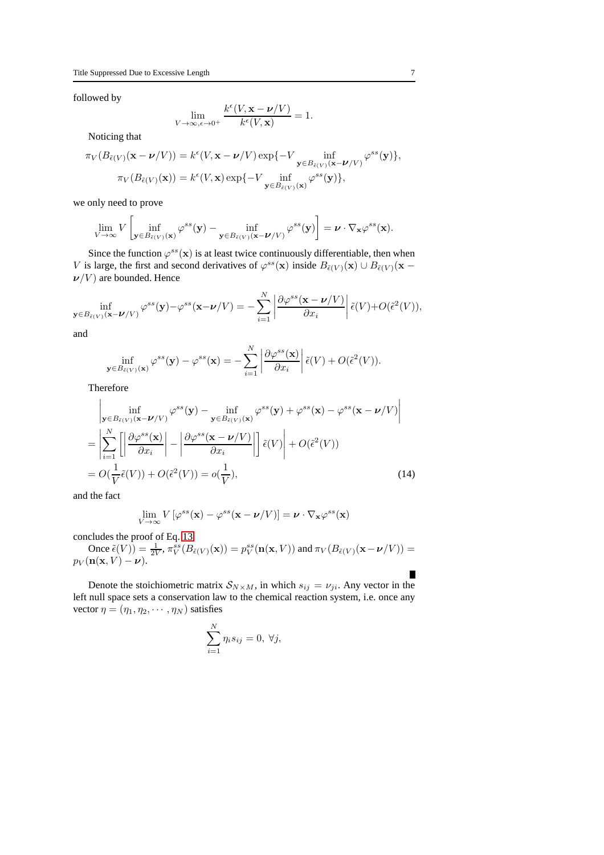followed by

$$
\lim_{V \to \infty, \epsilon \to 0^+} \frac{k^{\epsilon}(V, \mathbf{x} - \boldsymbol{\nu}/V)}{k^{\epsilon}(V, \mathbf{x})} = 1.
$$

Noticing that

$$
\pi_V(B_{\tilde{\epsilon}(V)}(\mathbf{x}-\boldsymbol{\nu}/V)) = k^{\epsilon}(V, \mathbf{x}-\boldsymbol{\nu}/V) \exp\{-V \inf_{\mathbf{y}\in B_{\tilde{\epsilon}(V)}(\mathbf{x}-\boldsymbol{\nu}/V)} \varphi^{ss}(\mathbf{y})\},
$$

$$
\pi_V(B_{\tilde{\epsilon}(V)}(\mathbf{x})) = k^{\epsilon}(V, \mathbf{x}) \exp\{-V \inf_{\mathbf{y}\in B_{\tilde{\epsilon}(V)}(\mathbf{x})} \varphi^{ss}(\mathbf{y})\},
$$

we only need to prove

$$
\lim_{V \to \infty} V \left[ \inf_{\mathbf{y} \in B_{\tilde{\epsilon}(V)}(\mathbf{x})} \varphi^{ss}(\mathbf{y}) - \inf_{\mathbf{y} \in B_{\tilde{\epsilon}(V)}(\mathbf{x} - \boldsymbol{\nu}/V)} \varphi^{ss}(\mathbf{y}) \right] = \boldsymbol{\nu} \cdot \nabla_{\mathbf{x}} \varphi^{ss}(\mathbf{x}).
$$

Since the function  $\varphi^{ss}(\mathbf{x})$  is at least twice continuously differentiable, then when V is large, the first and second derivatives of  $\varphi^{ss}(\mathbf{x})$  inside  $B_{\tilde{\epsilon}(V)}(\mathbf{x}) \cup B_{\tilde{\epsilon}(V)}(\mathbf{x} - \mathbf{z})$  $\nu/V$ ) are bounded. Hence

$$
\inf_{\mathbf{y}\in B_{\tilde{\epsilon}(V)}(\mathbf{x}-\boldsymbol{\nu}/V)}\varphi^{ss}(\mathbf{y})-\varphi^{ss}(\mathbf{x}-\boldsymbol{\nu}/V)=-\sum_{i=1}^N\left|\frac{\partial\varphi^{ss}(\mathbf{x}-\boldsymbol{\nu}/V)}{\partial x_i}\right|\tilde{\epsilon}(V)+O(\tilde{\epsilon}^2(V)),
$$

and

$$
\inf_{\in B_{\tilde{\epsilon}(V)}(\mathbf{x})} \varphi^{ss}(\mathbf{y}) - \varphi^{ss}(\mathbf{x}) = -\sum_{i=1}^N \left| \frac{\partial \varphi^{ss}(\mathbf{x})}{\partial x_i} \right| \tilde{\epsilon}(V) + O(\tilde{\epsilon}^2(V)).
$$

 $\mathbf{y}$ Therefore

$$
\begin{split}\n&\left|\inf_{\mathbf{y}\in B_{\tilde{\epsilon}(V)}(\mathbf{x}-\boldsymbol{\nu}/V)}\varphi^{ss}(\mathbf{y})-\inf_{\mathbf{y}\in B_{\tilde{\epsilon}(V)}(\mathbf{x})}\varphi^{ss}(\mathbf{y})+\varphi^{ss}(\mathbf{x})-\varphi^{ss}(\mathbf{x}-\boldsymbol{\nu}/V)\right|\n\end{split}
$$
\n
$$
=\left|\sum_{i=1}^{N}\left[\left|\frac{\partial\varphi^{ss}(\mathbf{x})}{\partial x_{i}}\right|-\left|\frac{\partial\varphi^{ss}(\mathbf{x}-\boldsymbol{\nu}/V)}{\partial x_{i}}\right|\right]\tilde{\epsilon}(V)\right|+O(\tilde{\epsilon}^{2}(V))
$$
\n
$$
=O(\frac{1}{V}\tilde{\epsilon}(V))+O(\tilde{\epsilon}^{2}(V))=o(\frac{1}{V}),\n\tag{14}
$$

and the fact

$$
\lim_{V \to \infty} V\left[\varphi^{ss}(\mathbf{x}) - \varphi^{ss}(\mathbf{x} - \boldsymbol{\nu}/V)\right] = \boldsymbol{\nu} \cdot \nabla_{\mathbf{x}} \varphi^{ss}(\mathbf{x})
$$

concludes the proof of Eq. [13.](#page-5-0)

Once  $\tilde{\epsilon}(V) = \frac{1}{2V}$ ,  $\pi_V^{ss}(B_{\tilde{\epsilon}(V)}(\mathbf{x})) = p_V^{ss}(\mathbf{n}(\mathbf{x}, V))$  and  $\pi_V(B_{\tilde{\epsilon}(V)}(\mathbf{x} - \boldsymbol{\nu}/V)) =$  $p_V(\mathbf{n}(\mathbf{x}, V) - \boldsymbol{\nu}).$ 

Denote the stoichiometric matrix  $S_{N\times M}$ , in which  $s_{ij} = v_{ji}$ . Any vector in the left null space sets a conservation law to the chemical reaction system, i.e. once any vector  $\eta = (\eta_1, \eta_2, \cdots, \eta_N)$  satisfies

$$
\sum_{i=1}^{N} \eta_i s_{ij} = 0, \ \forall j,
$$

Г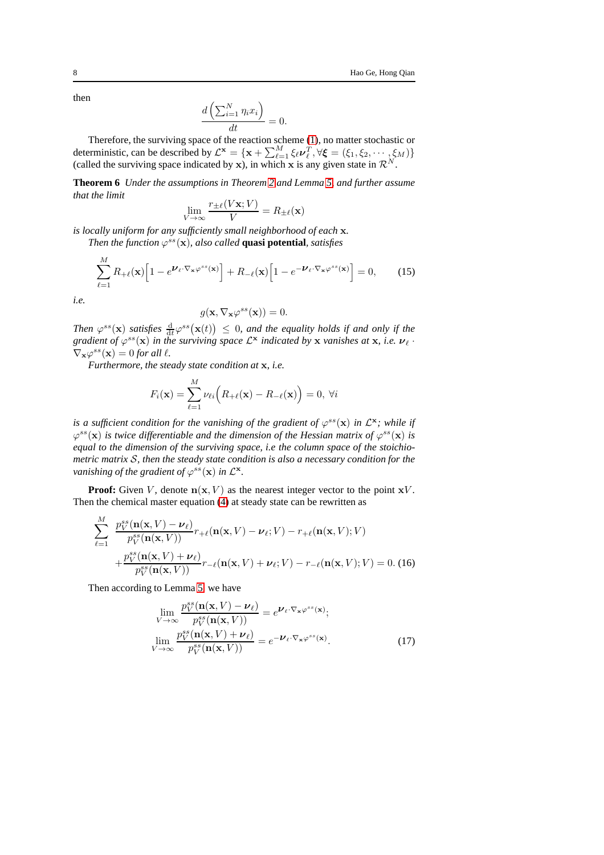then

$$
\frac{d\left(\sum_{i=1}^N \eta_i x_i\right)}{dt} = 0.
$$

Therefore, the surviving space of the reaction scheme [\(1\)](#page-1-0), no matter stochastic or deterministic, can be described by  $\mathcal{L}^{\mathbf{x}} = {\mathbf{x} + \sum_{\ell=1}^{M} \xi_{\ell} \nu_{\ell}^{T}}, \forall \xi = (\xi_1, \xi_2, \cdots, \xi_M) \}$ (called the surviving space indicated by x), in which x is any given state in  $\mathcal{R}^N$ .

<span id="page-7-1"></span>**Theorem 6** *Under the assumptions in Theorem [2](#page-3-0) and Lemma [5,](#page-5-1) and further assume that the limit*

$$
\lim_{V \to \infty} \frac{r_{\pm \ell}(V\mathbf{x}; V)}{V} = R_{\pm \ell}(\mathbf{x})
$$

*is locally uniform for any sufficiently small neighborhood of each* x*.*

*Then the function*  $\varphi^{ss}(\mathbf{x})$ *, also called* **quasi potential***, satisfies* 

<span id="page-7-0"></span>
$$
\sum_{\ell=1}^{M} R_{+\ell}(\mathbf{x}) \Big[ 1 - e^{\mathbf{V}_{\ell} \cdot \nabla_{\mathbf{x}} \varphi^{ss}(\mathbf{x})} \Big] + R_{-\ell}(\mathbf{x}) \Big[ 1 - e^{-\mathbf{V}_{\ell} \cdot \nabla_{\mathbf{x}} \varphi^{ss}(\mathbf{x})} \Big] = 0, \qquad (15)
$$

*i.e.*

 $\ddot{\phantom{a}}$ 

$$
g(\mathbf{x}, \nabla_{\mathbf{x}} \varphi^{ss}(\mathbf{x})) = 0.
$$

Then  $\varphi^{ss}(\mathbf{x})$  *satisfies*  $\frac{d}{dt}\varphi^{ss}(\mathbf{x}(t)) \leq 0$ , and the equality holds if and only if the gradient of  $\varphi^{ss}(\mathbf{x})$  in the surviving space  $\mathcal{L}^{\mathbf{x}}$  indicated by  $\mathbf{x}$  *vanishes at*  $\mathbf{x}$ *, i.e.*  $\boldsymbol{\nu}_{\ell}$  ·  $\nabla_{\mathbf{x}} \varphi^{ss}(\mathbf{x}) = 0$  for all  $\ell$ .

*Furthermore, the steady state condition at* x*, i.e.*

$$
F_i(\mathbf{x}) = \sum_{\ell=1}^M \nu_{\ell i} \Big( R_{+\ell}(\mathbf{x}) - R_{-\ell}(\mathbf{x}) \Big) = 0, \ \forall i
$$

*is a sufficient condition for the vanishing of the gradient of*  $\varphi^{ss}(\mathbf{x})$  *in*  $\mathcal{L}^{\mathbf{x}}$ *; while if*  $\varphi^{ss}(\mathbf{x})$  *is twice differentiable and the dimension of the Hessian matrix of*  $\varphi^{ss}(\mathbf{x})$  *is equal to the dimension of the surviving space, i.e the column space of the stoichiometric matrix* S*, then the steady state condition is also a necessary condition for the vanishing of the gradient of*  $\varphi^{ss}(\mathbf{x})$  *in*  $\mathcal{L}^{\mathbf{x}}$ *.* 

**Proof:** Given V, denote  $n(x, V)$  as the nearest integer vector to the point  $xV$ . Then the chemical master equation [\(4\)](#page-2-0) at steady state can be rewritten as

$$
\sum_{\ell=1}^{M} \frac{p_V^{ss}(\mathbf{n}(\mathbf{x}, V) - \boldsymbol{\nu}_{\ell})}{p_V^{ss}(\mathbf{n}(\mathbf{x}, V))} r_{+\ell}(\mathbf{n}(\mathbf{x}, V) - \boldsymbol{\nu}_{\ell}; V) - r_{+\ell}(\mathbf{n}(\mathbf{x}, V); V) + \frac{p_V^{ss}(\mathbf{n}(\mathbf{x}, V) + \boldsymbol{\nu}_{\ell})}{p_V^{ss}(\mathbf{n}(\mathbf{x}, V))} r_{-\ell}(\mathbf{n}(\mathbf{x}, V) + \boldsymbol{\nu}_{\ell}; V) - r_{-\ell}(\mathbf{n}(\mathbf{x}, V); V) = 0. (16)
$$

Then according to Lemma [5,](#page-5-1) we have

$$
\lim_{V \to \infty} \frac{p_V^{ss}(\mathbf{n}(\mathbf{x}, V) - \nu_\ell)}{p_V^{ss}(\mathbf{n}(\mathbf{x}, V))} = e^{\nu_\ell \cdot \nabla_{\mathbf{x}} \varphi^{ss}(\mathbf{x})};
$$
\n
$$
\lim_{V \to \infty} \frac{p_V^{ss}(\mathbf{n}(\mathbf{x}, V) + \nu_\ell)}{p_V^{ss}(\mathbf{n}(\mathbf{x}, V))} = e^{-\nu_\ell \cdot \nabla_{\mathbf{x}} \varphi^{ss}(\mathbf{x})}.
$$
\n(17)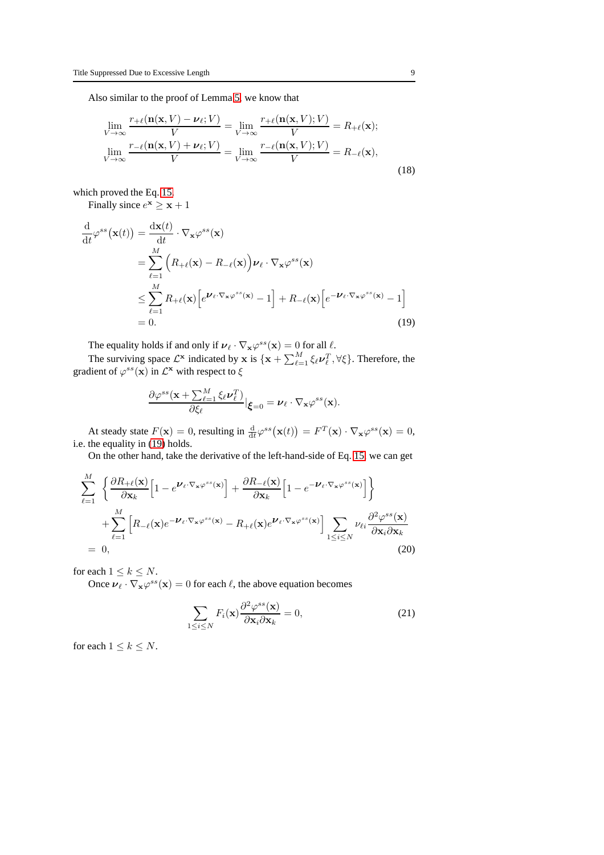Also similar to the proof of Lemma [5,](#page-5-1) we know that

$$
\lim_{V \to \infty} \frac{r_{+\ell}(\mathbf{n}(\mathbf{x}, V) - \nu_{\ell}; V)}{V} = \lim_{V \to \infty} \frac{r_{+\ell}(\mathbf{n}(\mathbf{x}, V); V)}{V} = R_{+\ell}(\mathbf{x});
$$
\n
$$
\lim_{V \to \infty} \frac{r_{-\ell}(\mathbf{n}(\mathbf{x}, V) + \nu_{\ell}; V)}{V} = \lim_{V \to \infty} \frac{r_{-\ell}(\mathbf{n}(\mathbf{x}, V); V)}{V} = R_{-\ell}(\mathbf{x}),
$$
\n(18)

which proved the Eq. [15.](#page-7-0)

Finally since  $e^{\mathbf{x}} \geq \mathbf{x} + 1$ 

<span id="page-8-0"></span>
$$
\frac{\mathrm{d}}{\mathrm{d}t} \varphi^{ss}(\mathbf{x}(t)) = \frac{\mathrm{d}\mathbf{x}(t)}{\mathrm{d}t} \cdot \nabla_{\mathbf{x}} \varphi^{ss}(\mathbf{x}) \n= \sum_{\ell=1}^{M} \left( R_{+\ell}(\mathbf{x}) - R_{-\ell}(\mathbf{x}) \right) \nu_{\ell} \cdot \nabla_{\mathbf{x}} \varphi^{ss}(\mathbf{x}) \n\leq \sum_{\ell=1}^{M} R_{+\ell}(\mathbf{x}) \left[ e^{\mathbf{U}_{\ell} \cdot \nabla_{\mathbf{x}} \varphi^{ss}(\mathbf{x})} - 1 \right] + R_{-\ell}(\mathbf{x}) \left[ e^{-\mathbf{U}_{\ell} \cdot \nabla_{\mathbf{x}} \varphi^{ss}(\mathbf{x})} - 1 \right] \n= 0.
$$
\n(19)

The equality holds if and only if  $v_{\ell} \cdot \nabla_{\mathbf{x}} \varphi^{ss}(\mathbf{x}) = 0$  for all  $\ell$ .

The surviving space  $\mathcal{L}^{\mathbf{x}}$  indicated by  $\mathbf{x}$  is  $\{\mathbf{x} + \sum_{\ell=1}^{M} \xi_{\ell} \nu_{\ell}^T, \forall \xi\}$ . Therefore, the gradient of  $\varphi^{ss}(\mathbf{x})$  in  $\mathcal{L}^{\mathbf{x}}$  with respect to  $\xi$ 

$$
\frac{\partial \varphi^{ss}(\mathbf{x} + \sum_{\ell=1}^M \xi_\ell \nu_\ell^T)}{\partial \xi_\ell} |_{\boldsymbol{\xi}=0} = \boldsymbol{\nu}_\ell \cdot \nabla_{\mathbf{x}} \varphi^{ss}(\mathbf{x}).
$$

At steady state  $F(\mathbf{x}) = 0$ , resulting in  $\frac{d}{dt} \varphi^{ss}(\mathbf{x}(t)) = F^T(\mathbf{x}) \cdot \nabla_{\mathbf{x}} \varphi^{ss}(\mathbf{x}) = 0$ , i.e. the equality in [\(19\)](#page-8-0) holds.

On the other hand, take the derivative of the left-hand-side of Eq. [15,](#page-7-0) we can get

$$
\sum_{\ell=1}^{M} \left\{ \frac{\partial R_{+\ell}(\mathbf{x})}{\partial \mathbf{x}_{k}} \left[ 1 - e^{\mathbf{V}_{\ell} \cdot \nabla_{\mathbf{x}} \varphi^{ss}(\mathbf{x})} \right] + \frac{\partial R_{-\ell}(\mathbf{x})}{\partial \mathbf{x}_{k}} \left[ 1 - e^{-\mathbf{V}_{\ell} \cdot \nabla_{\mathbf{x}} \varphi^{ss}(\mathbf{x})} \right] \right\}
$$
\n
$$
+ \sum_{\ell=1}^{M} \left[ R_{-\ell}(\mathbf{x}) e^{-\mathbf{V}_{\ell} \cdot \nabla_{\mathbf{x}} \varphi^{ss}(\mathbf{x})} - R_{+\ell}(\mathbf{x}) e^{\mathbf{V}_{\ell} \cdot \nabla_{\mathbf{x}} \varphi^{ss}(\mathbf{x})} \right] \sum_{1 \le i \le N} \nu_{\ell i} \frac{\partial^{2} \varphi^{ss}(\mathbf{x})}{\partial \mathbf{x}_{i} \partial \mathbf{x}_{k}}
$$
\n= 0, (20)

for each  $1 \leq k \leq N$ .

Once  $v_{\ell} \cdot \nabla_{\mathbf{x}} \varphi^{ss}(\mathbf{x}) = 0$  for each  $\ell$ , the above equation becomes

$$
\sum_{1 \le i \le N} F_i(\mathbf{x}) \frac{\partial^2 \varphi^{ss}(\mathbf{x})}{\partial \mathbf{x}_i \partial \mathbf{x}_k} = 0,
$$
\n(21)

for each  $1 \leq k \leq N$ .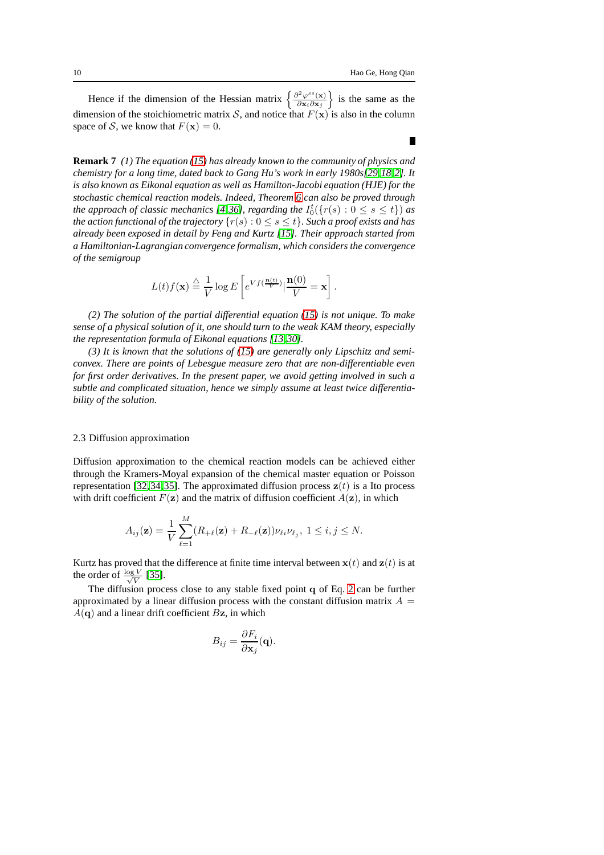$\blacksquare$ 

Hence if the dimension of the Hessian matrix  $\begin{cases} \frac{\partial^2 \varphi^{ss}(\mathbf{x})}{\partial \mathbf{x} \cdot \partial \mathbf{x}} \end{cases}$  $\frac{\partial^2 \varphi^{ss}(\mathbf{x})}{\partial \mathbf{x}_i \partial \mathbf{x}_j}$  is the same as the dimension of the stoichiometric matrix S, and notice that  $F(\mathbf{x})$  is also in the column space of S, we know that  $F(\mathbf{x}) = 0$ .

**Remark 7** *(1) The equation [\(15\)](#page-7-0) has already known to the community of physics and chemistry for a long time, dated back to Gang Hu's work in early 1980s[\[29,](#page-20-11)[18,](#page-20-12)[2\]](#page-19-4). It is also known as Eikonal equation as well as Hamilton-Jacobi equation (HJE) for the stochastic chemical reaction models. Indeed, Theorem [6](#page-7-1) can also be proved through the approach of classic mechanics [\[4,](#page-19-5)[36\]](#page-20-13), regarding the*  $I_0^t({r(s):0\leq s\leq t})$  *as the action functional of the trajectory*  $\{r(s): 0 \le s \le t\}$ *. Such a proof exists and has already been exposed in detail by Feng and Kurtz [\[15\]](#page-20-14). Their approach started from a Hamiltonian-Lagrangian convergence formalism, which considers the convergence of the semigroup*

$$
L(t)f(\mathbf{x}) \stackrel{\triangle}{=} \frac{1}{V} \log E\left[e^{Vf(\frac{\mathbf{n}(t)}{V})} | \frac{\mathbf{n}(0)}{V} = \mathbf{x}\right].
$$

*(2) The solution of the partial differential equation [\(15\)](#page-7-0) is not unique. To make sense of a physical solution of it, one should turn to the weak KAM theory, especially the representation formula of Eikonal equations [\[13,](#page-19-6)[30\]](#page-20-15).*

*(3) It is known that the solutions of [\(15\)](#page-7-0) are generally only Lipschitz and semiconvex. There are points of Lebesgue measure zero that are non-differentiable even for first order derivatives. In the present paper, we avoid getting involved in such a subtle and complicated situation, hence we simply assume at least twice differentiability of the solution.*

## <span id="page-9-0"></span>2.3 Diffusion approximation

Diffusion approximation to the chemical reaction models can be achieved either through the Kramers-Moyal expansion of the chemical master equation or Poisson representation [\[32,](#page-20-16)[34,](#page-20-17)[35\]](#page-20-3). The approximated diffusion process  $z(t)$  is a Ito process with drift coefficient  $F(\mathbf{z})$  and the matrix of diffusion coefficient  $A(\mathbf{z})$ , in which

$$
A_{ij}(\mathbf{z}) = \frac{1}{V} \sum_{\ell=1}^{M} (R_{+\ell}(\mathbf{z}) + R_{-\ell}(\mathbf{z})) \nu_{\ell i} \nu_{\ell j}, \ 1 \leq i, j \leq N.
$$

Kurtz has proved that the difference at finite time interval between  $x(t)$  and  $z(t)$  is at the order of  $\frac{\log V}{\sqrt{V}}$  $\frac{\nu}{V}$  [\[35\]](#page-20-3).

The diffusion process close to any stable fixed point q of Eq. [2](#page-1-1) can be further approximated by a linear diffusion process with the constant diffusion matrix  $A =$  $A(q)$  and a linear drift coefficient Bz, in which

$$
B_{ij} = \frac{\partial F_i}{\partial \mathbf{x}_j}(\mathbf{q}).
$$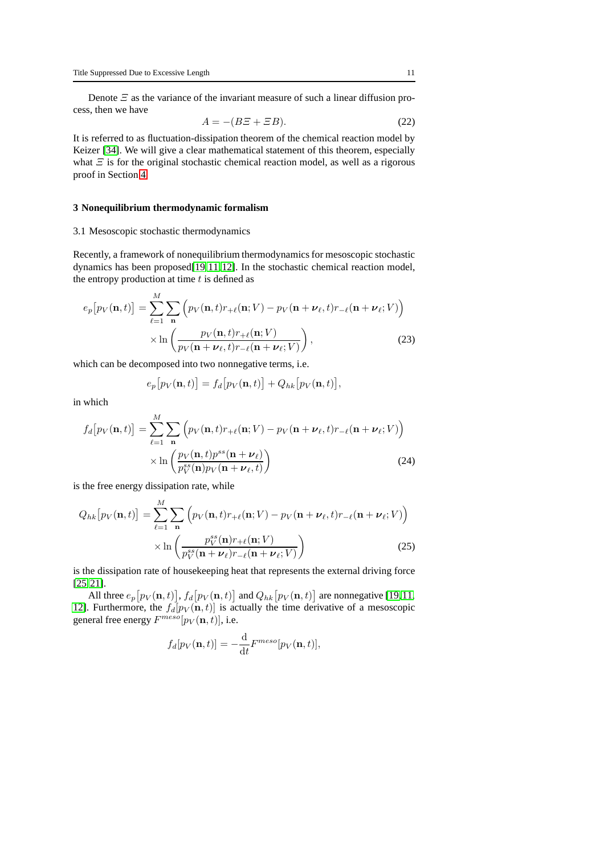Denote  $\Xi$  as the variance of the invariant measure of such a linear diffusion process, then we have

$$
A = -(B\Xi + \Xi B). \tag{22}
$$

It is referred to as fluctuation-dissipation theorem of the chemical reaction model by Keizer [\[34\]](#page-20-17). We will give a clear mathematical statement of this theorem, especially what  $\Xi$  is for the original stochastic chemical reaction model, as well as a rigorous proof in Section [4.](#page-15-0)

#### **3 Nonequilibrium thermodynamic formalism**

#### 3.1 Mesoscopic stochastic thermodynamics

Recently, a framework of nonequilibrium thermodynamics for mesoscopic stochastic dynamics has been proposed[\[19,](#page-20-9)[11,](#page-19-7)[12\]](#page-19-8). In the stochastic chemical reaction model, the entropy production at time  $t$  is defined as

$$
e_p[p_V(\mathbf{n},t)] = \sum_{\ell=1}^{M} \sum_{\mathbf{n}} \left( p_V(\mathbf{n},t) r_{+\ell}(\mathbf{n};V) - p_V(\mathbf{n}+\nu_{\ell},t) r_{-\ell}(\mathbf{n}+\nu_{\ell};V) \right) \times \ln \left( \frac{p_V(\mathbf{n},t) r_{+\ell}(\mathbf{n};V)}{p_V(\mathbf{n}+\nu_{\ell},t) r_{-\ell}(\mathbf{n}+\nu_{\ell};V)} \right),
$$
(23)

which can be decomposed into two nonnegative terms, i.e.

$$
e_p[p_V(\mathbf{n},t)] = f_d[p_V(\mathbf{n},t)] + Q_{hk}[p_V(\mathbf{n},t)],
$$

in which

$$
f_d[p_V(\mathbf{n},t)] = \sum_{\ell=1}^{M} \sum_{\mathbf{n}} \left( p_V(\mathbf{n},t)r_{+\ell}(\mathbf{n};V) - p_V(\mathbf{n}+\nu_{\ell},t)r_{-\ell}(\mathbf{n}+\nu_{\ell};V) \right) \times \ln \left( \frac{p_V(\mathbf{n},t)p^{ss}(\mathbf{n}+\nu_{\ell})}{p_V^{ss}(\mathbf{n})p_V(\mathbf{n}+\nu_{\ell},t)} \right)
$$
(24)

is the free energy dissipation rate, while

$$
Q_{hk}[p_V(\mathbf{n},t)] = \sum_{\ell=1}^{M} \sum_{\mathbf{n}} \left( p_V(\mathbf{n},t)r_{+\ell}(\mathbf{n};V) - p_V(\mathbf{n}+\nu_{\ell},t)r_{-\ell}(\mathbf{n}+\nu_{\ell};V) \right) \times \ln \left( \frac{p_V^{ss}(\mathbf{n})r_{+\ell}(\mathbf{n};V)}{p_V^{ss}(\mathbf{n}+\nu_{\ell})r_{-\ell}(\mathbf{n}+\nu_{\ell};V)} \right)
$$
(25)

is the dissipation rate of housekeeping heat that represents the external driving force [\[25,](#page-20-18)[21\]](#page-20-19).

All three  $e_p[p_V(\mathbf{n},t)]$ ,  $f_d[p_V(\mathbf{n},t)]$  and  $Q_{hk}[p_V(\mathbf{n},t)]$  are nonnegative [\[19,](#page-20-9)[11,](#page-19-7) [12\]](#page-19-8). Furthermore, the  $f_d[p_V(\mathbf{n}, t)]$  is actually the time derivative of a mesoscopic general free energy  $F^{meso}[p_V(\mathbf{n},t)]$ , i.e.

$$
f_d[p_V(\mathbf{n},t)] = -\frac{\mathrm{d}}{\mathrm{d}t}F^{meso}[p_V(\mathbf{n},t)],
$$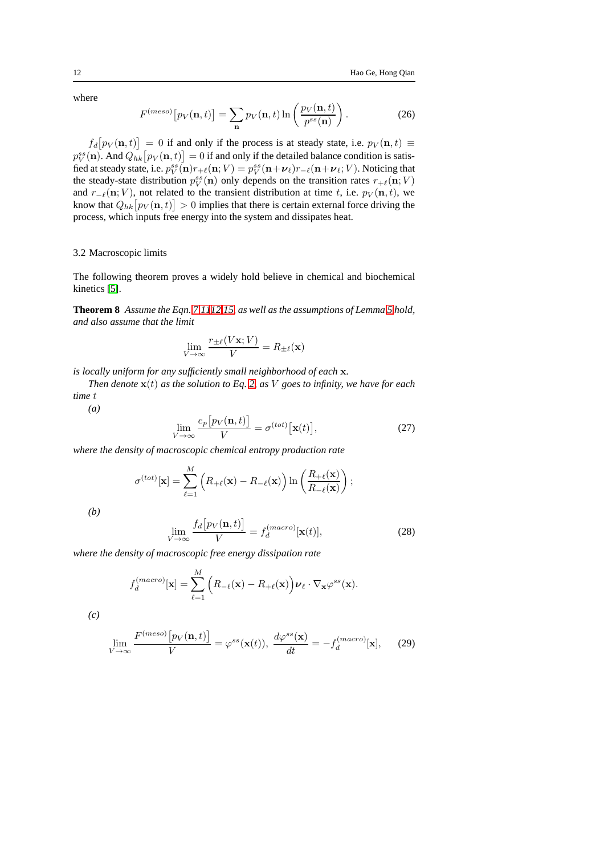where

$$
F^{(meso)}\left[p_V(\mathbf{n},t)\right] = \sum_{\mathbf{n}} p_V(\mathbf{n},t) \ln\left(\frac{p_V(\mathbf{n},t)}{p^{ss}(\mathbf{n})}\right). \tag{26}
$$

 $f_d[p_V(\mathbf{n},t)] = 0$  if and only if the process is at steady state, i.e.  $p_V(\mathbf{n},t) \equiv$  $p_V^{ss}({\bf n}).$  And  $Q_{hk}\big[p_V({\bf n},t)\big]=0$  if and only if the detailed balance condition is satisfied at steady state, i.e.  $p_V^{ss}(\mathbf{n})r_{+\ell}(\mathbf{n};V) = p_V^{ss}(\mathbf{n}+\boldsymbol{\nu}_\ell)r_{-\ell}(\mathbf{n}+\boldsymbol{\nu}_\ell;V)$ . Noticing that the steady-state distribution  $p_V^{ss}(\mathbf{n})$  only depends on the transition rates  $r_{+\ell}(\mathbf{n}; V)$ and  $r_{-\ell}(\mathbf{n}; V)$ , not related to the transient distribution at time t, i.e.  $p_V(\mathbf{n}, t)$ , we know that  $Q_{hk}\big[p_V(\mathbf{n},t)\big]>0$  implies that there is certain external force driving the process, which inputs free energy into the system and dissipates heat.

## 3.2 Macroscopic limits

The following theorem proves a widely hold believe in chemical and biochemical kinetics [\[5\]](#page-19-9).

**Theorem 8** *Assume the Eqn. [7,](#page-3-1)[11](#page-4-1)[12,](#page-4-0)[15,](#page-7-0) as well as the assumptions of Lemma [5](#page-5-1) hold, and also assume that the limit*

$$
\lim_{V \to \infty} \frac{r_{\pm \ell}(V\mathbf{x}; V)}{V} = R_{\pm \ell}(\mathbf{x})
$$

*is locally uniform for any sufficiently small neighborhood of each* x*.*

*Then denote*  $\mathbf{x}(t)$  *as the solution to Eq. [2,](#page-1-1) as V goes to infinity, we have for each time* t

*(a)*

$$
\lim_{V \to \infty} \frac{e_p \big[ p_V(\mathbf{n}, t) \big]}{V} = \sigma^{(tot)} \big[ \mathbf{x}(t) \big],\tag{27}
$$

*where the density of macroscopic chemical entropy production rate*

$$
\sigma^{(tot)}[\mathbf{x}] = \sum_{\ell=1}^{M} \left( R_{+\ell}(\mathbf{x}) - R_{-\ell}(\mathbf{x}) \right) \ln \left( \frac{R_{+\ell}(\mathbf{x})}{R_{-\ell}(\mathbf{x})} \right);
$$

*(b)*

$$
\lim_{V \to \infty} \frac{f_d[p_V(\mathbf{n}, t)]}{V} = f_d^{(macro)}[\mathbf{x}(t)],\tag{28}
$$

*where the density of macroscopic free energy dissipation rate*

$$
f_d^{(macro)}[\mathbf{x}] = \sum_{\ell=1}^{M} (R_{-\ell}(\mathbf{x}) - R_{+\ell}(\mathbf{x})) \nu_{\ell} \cdot \nabla_{\mathbf{x}} \varphi^{ss}(\mathbf{x}).
$$

*(c)*

$$
\lim_{V \to \infty} \frac{F^{(meso)}\left[p_V(\mathbf{n},t)\right]}{V} = \varphi^{ss}(\mathbf{x}(t)), \ \frac{d\varphi^{ss}(\mathbf{x})}{dt} = -f_d^{(macro)}[\mathbf{x}], \tag{29}
$$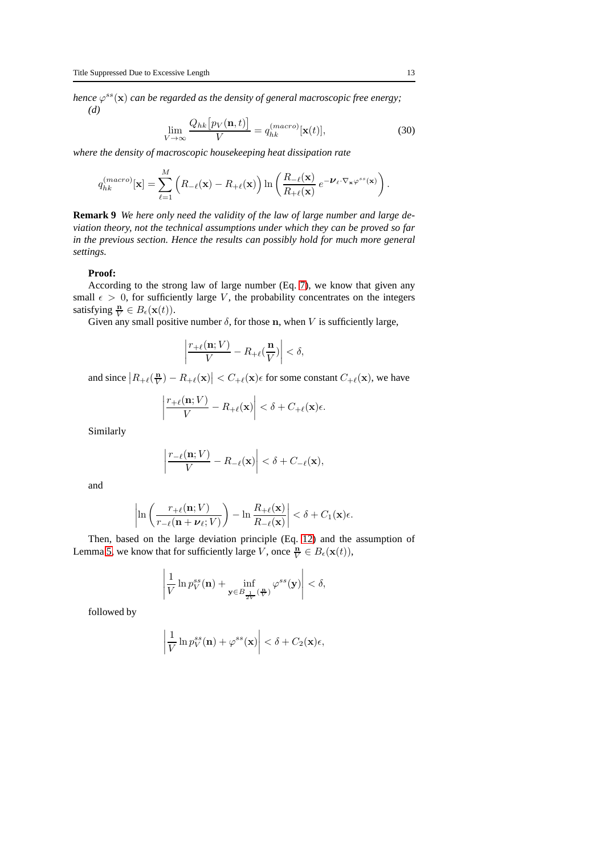hence  $\varphi^{ss}(\mathbf{x})$  can be regarded as the density of general macroscopic free energy; *(d)*

$$
\lim_{V \to \infty} \frac{Q_{hk} \left[ p_V(\mathbf{n}, t) \right]}{V} = q_{hk}^{(macro)}[\mathbf{x}(t)],\tag{30}
$$

*where the density of macroscopic housekeeping heat dissipation rate*

$$
q_{hk}^{(macro)}[\mathbf{x}] = \sum_{\ell=1}^{M} \left( R_{-\ell}(\mathbf{x}) - R_{+\ell}(\mathbf{x}) \right) \ln \left( \frac{R_{-\ell}(\mathbf{x})}{R_{+\ell}(\mathbf{x})} e^{-\boldsymbol{\nu}_{\ell} \cdot \nabla_{\mathbf{x}} \varphi^{ss}(\mathbf{x})} \right).
$$

**Remark 9** *We here only need the validity of the law of large number and large deviation theory, not the technical assumptions under which they can be proved so far in the previous section. Hence the results can possibly hold for much more general settings.*

#### **Proof:**

According to the strong law of large number (Eq. [7\)](#page-3-1), we know that given any small  $\epsilon > 0$ , for sufficiently large V, the probability concentrates on the integers satisfying  $\frac{\mathbf{n}}{V} \in B_{\epsilon}(\mathbf{x}(t)).$ 

Given any small positive number  $\delta$ , for those n, when V is sufficiently large,

$$
\left|\frac{r_{+\ell}(\mathbf{n};V)}{V} - R_{+\ell}(\frac{\mathbf{n}}{V})\right| < \delta,
$$

and since  $|R_{+\ell}(\frac{\mathbf{n}}{V}) - R_{+\ell}(\mathbf{x})| < C_{+\ell}(\mathbf{x})\epsilon$  for some constant  $C_{+\ell}(\mathbf{x})$ , we have

$$
\left|\frac{r_{+\ell}(\mathbf{n};V)}{V} - R_{+\ell}(\mathbf{x})\right| < \delta + C_{+\ell}(\mathbf{x})\epsilon.
$$

Similarly

$$
\left|\frac{r_{-\ell}(\mathbf{n};V)}{V} - R_{-\ell}(\mathbf{x})\right| < \delta + C_{-\ell}(\mathbf{x}),
$$

and

$$
\left|\ln\left(\frac{r_{+\ell}(\mathbf{n};V)}{r_{-\ell}(\mathbf{n}+\boldsymbol{\nu}_{\ell};V)}\right)-\ln\frac{R_{+\ell}(\mathbf{x})}{R_{-\ell}(\mathbf{x})}\right|<\delta+C_1(\mathbf{x})\epsilon.
$$

Then, based on the large deviation principle (Eq. [12\)](#page-4-0) and the assumption of Lemma [5,](#page-5-1) we know that for sufficiently large V, once  $\frac{\mathbf{n}}{V} \in B_{\epsilon}(\mathbf{x}(t)),$ 

$$
\left|\frac{1}{V}\ln p_V^{ss}(\mathbf{n})+\inf_{\mathbf{y}\in B_{\frac{1}{2V}}(\frac{\mathbf{n}}{V})}\varphi^{ss}(\mathbf{y})\right|<\delta,
$$

followed by

$$
\left|\frac{1}{V}\ln p_V^{ss}(\mathbf{n}) + \varphi^{ss}(\mathbf{x})\right| < \delta + C_2(\mathbf{x})\epsilon,
$$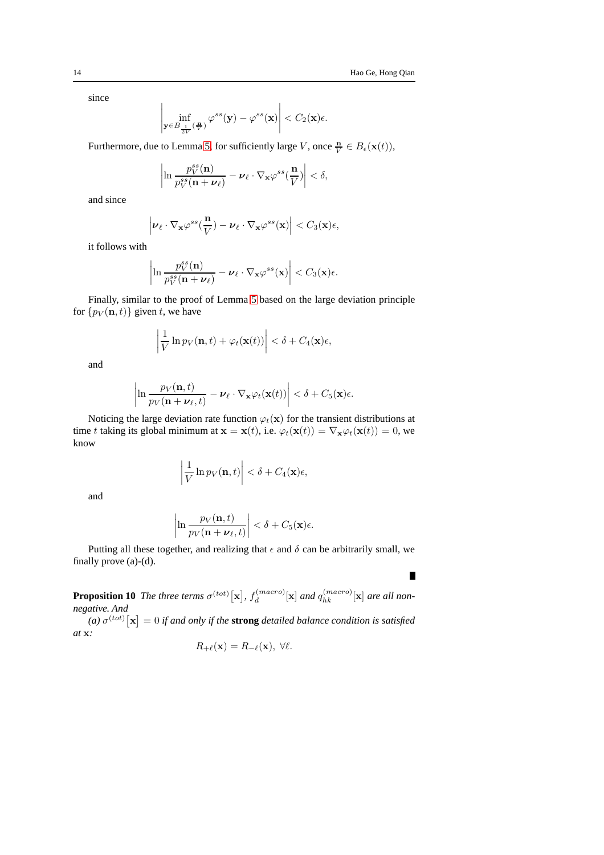$\blacksquare$ 

since

$$
\left|\inf_{\mathbf{y}\in B_{\frac{1}{2V}}(\frac{\mathbf{n}}{V})}\varphi^{ss}(\mathbf{y})-\varphi^{ss}(\mathbf{x})\right|
$$

Furthermore, due to Lemma [5,](#page-5-1) for sufficiently large V, once  $\frac{\mathbf{n}}{V} \in B_{\epsilon}(\mathbf{x}(t)),$ 

$$
\left|\ln \frac{p_V^{ss}(\mathbf{n})}{p_V^{ss}(\mathbf{n}+\boldsymbol{\nu}_{\ell})}-\boldsymbol{\nu}_{\ell}\cdot\nabla_{\mathbf{x}}\varphi^{ss}(\frac{\mathbf{n}}{V})\right|<\delta,
$$

and since

$$
\left|\boldsymbol{\nu}_{\ell}\cdot\nabla_{\mathbf{x}}\varphi^{ss}(\frac{\mathbf{n}}{V})-\boldsymbol{\nu}_{\ell}\cdot\nabla_{\mathbf{x}}\varphi^{ss}(\mathbf{x})\right|
$$

it follows with

 $\overline{\phantom{a}}$  $\overline{\phantom{a}}$  $\overline{\phantom{a}}$  $\overline{\phantom{a}}$ 

$$
\ln \frac{p_V^{ss}(\mathbf{n})}{p_V^{ss}(\mathbf{n}+\boldsymbol{\nu}_{\ell})}-\boldsymbol{\nu}_{\ell}\cdot\nabla_{\mathbf{x}}\varphi^{ss}(\mathbf{x})\Big|
$$

Finally, similar to the proof of Lemma [5](#page-5-1) based on the large deviation principle for  $\{p_V(\mathbf{n}, t)\}\$ given t, we have

$$
\left|\frac{1}{V}\ln p_V(\mathbf{n},t)+\varphi_t(\mathbf{x}(t))\right|<\delta+C_4(\mathbf{x})\epsilon,
$$

and

$$
\left|\ln \frac{p_V(\mathbf{n},t)}{p_V(\mathbf{n}+\boldsymbol{\nu}_{\ell},t)} - \boldsymbol{\nu}_{\ell} \cdot \nabla_{\mathbf{x}} \varphi_t(\mathbf{x}(t))\right| < \delta + C_5(\mathbf{x})\epsilon.
$$

Noticing the large deviation rate function  $\varphi_t(\mathbf{x})$  for the transient distributions at time t taking its global minimum at  $\mathbf{x} = \mathbf{x}(t)$ , i.e.  $\varphi_t(\mathbf{x}(t)) = \nabla_\mathbf{x} \varphi_t(\mathbf{x}(t)) = 0$ , we know

$$
\left|\frac{1}{V}\ln p_V(\mathbf{n},t)\right| < \delta + C_4(\mathbf{x})\epsilon,
$$

and

$$
\left|\ln\frac{p_V(\mathbf{n},t)}{p_V(\mathbf{n}+\boldsymbol{\nu}_{\ell},t)}\right| < \delta + C_5(\mathbf{x})\epsilon.
$$

Putting all these together, and realizing that  $\epsilon$  and  $\delta$  can be arbitrarily small, we finally prove (a)-(d).

<span id="page-13-0"></span>**Proposition 10** *The three terms*  $\sigma^{(tot)}[\mathbf{x}]$ ,  $f_d^{(macro)}$  $\int_{d}^{(macro)} [\mathbf{x}]$  and  $q_{hk}^{(macro)}[\mathbf{x}]$  are all non*negative. And*

*(a)*  $\sigma^{(tot)}[\mathbf{x}] = 0$  *if and only if the strong detailed balance condition is satisfied at* x*:*

$$
R_{+\ell}(\mathbf{x}) = R_{-\ell}(\mathbf{x}), \ \forall \ell.
$$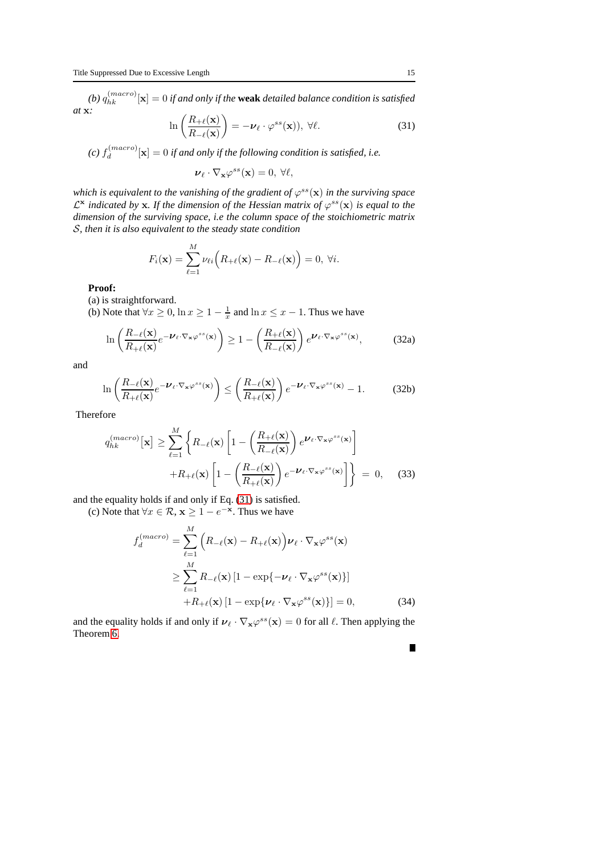(b)  $q_{hk}^{(macro)}[\mathbf{x}] = 0$  if and only if the **weak** detailed balance condition is satisfied *at* x*:*

<span id="page-14-0"></span>
$$
\ln\left(\frac{R_{+\ell}(\mathbf{x})}{R_{-\ell}(\mathbf{x})}\right) = -\boldsymbol{\nu}_{\ell} \cdot \varphi^{ss}(\mathbf{x})), \ \forall \ell.
$$
 (31)

 $(c)$   $f_d^{(macro)}$  $\mathbf{d}_{d}^{(macro)}[\mathbf{x}] = 0$  *if and only if the following condition is satisfied, i.e.* 

$$
\nu_{\ell} \cdot \nabla_{\mathbf{x}} \varphi^{ss}(\mathbf{x}) = 0, \ \forall \ell,
$$

which is equivalent to the vanishing of the gradient of  $\varphi^{ss}(\mathbf{x})$  in the surviving space  $\mathcal{L}^{\mathbf{x}}$  indicated by **x**. If the dimension of the Hessian matrix of  $\varphi^{ss}(\mathbf{x})$  is equal to the *dimension of the surviving space, i.e the column space of the stoichiometric matrix* S*, then it is also equivalent to the steady state condition*

$$
F_i(\mathbf{x}) = \sum_{\ell=1}^M \nu_{\ell i} \Big( R_{+\ell}(\mathbf{x}) - R_{-\ell}(\mathbf{x}) \Big) = 0, \ \forall i.
$$

**Proof:**

(a) is straightforward.

(b) Note that  $\forall x \ge 0$ ,  $\ln x \ge 1 - \frac{1}{x}$  and  $\ln x \le x - 1$ . Thus we have

M

$$
\ln\left(\frac{R_{-\ell}(\mathbf{x})}{R_{+\ell}(\mathbf{x})}e^{-\boldsymbol{\nu}_{\ell}\cdot\nabla_{\mathbf{x}}\varphi^{ss}(\mathbf{x})}\right) \ge 1 - \left(\frac{R_{+\ell}(\mathbf{x})}{R_{-\ell}(\mathbf{x})}\right)e^{\boldsymbol{\nu}_{\ell}\cdot\nabla_{\mathbf{x}}\varphi^{ss}(\mathbf{x})},\tag{32a}
$$

and

$$
\ln\left(\frac{R_{-\ell}(\mathbf{x})}{R_{+\ell}(\mathbf{x})}e^{-\boldsymbol{\nu}_{\ell}\cdot\nabla_{\mathbf{x}}\varphi^{ss}(\mathbf{x})}\right) \leq \left(\frac{R_{-\ell}(\mathbf{x})}{R_{+\ell}(\mathbf{x})}\right)e^{-\boldsymbol{\nu}_{\ell}\cdot\nabla_{\mathbf{x}}\varphi^{ss}(\mathbf{x})} - 1.
$$
 (32b)

Therefore

$$
q_{hk}^{(macro)}[\mathbf{x}] \ge \sum_{\ell=1}^{M} \left\{ R_{-\ell}(\mathbf{x}) \left[ 1 - \left( \frac{R_{+\ell}(\mathbf{x})}{R_{-\ell}(\mathbf{x})} \right) e^{\mathbf{V}_{\ell} \cdot \nabla_{\mathbf{x}} \varphi^{ss}(\mathbf{x})} \right] + R_{+\ell}(\mathbf{x}) \left[ 1 - \left( \frac{R_{-\ell}(\mathbf{x})}{R_{+\ell}(\mathbf{x})} \right) e^{-\mathbf{V}_{\ell} \cdot \nabla_{\mathbf{x}} \varphi^{ss}(\mathbf{x})} \right] \right\} = 0, \quad (33)
$$

and the equality holds if and only if Eq. [\(31\)](#page-14-0) is satisfied.

(c) Note that 
$$
\forall x \in \mathcal{R}, \mathbf{x} \ge 1 - e^{-\mathbf{x}}
$$
. Thus we have  

$$
f_d^{(macro)} = \sum_{\ell=1}^M \left( R_{-\ell}(\mathbf{x}) - R_{+\ell}(\mathbf{x}) \right) \nu_\ell \cdot \nabla_{\mathbf{x}} \varphi^{ss}(\mathbf{x})
$$

$$
\geq \sum_{\ell=1} R_{-\ell}(\mathbf{x}) \left[ 1 - \exp\{-\boldsymbol{\nu}_{\ell} \cdot \nabla_{\mathbf{x}} \varphi^{ss}(\mathbf{x})\} \right] + R_{+\ell}(\mathbf{x}) \left[ 1 - \exp\{\boldsymbol{\nu}_{\ell} \cdot \nabla_{\mathbf{x}} \varphi^{ss}(\mathbf{x})\} \right] = 0,
$$
(34)

and the equality holds if and only if  $v_{\ell} \cdot \nabla_{\mathbf{x}} \varphi^{ss}(\mathbf{x}) = 0$  for all  $\ell$ . Then applying the Theorem [6.](#page-7-1)

 $\blacksquare$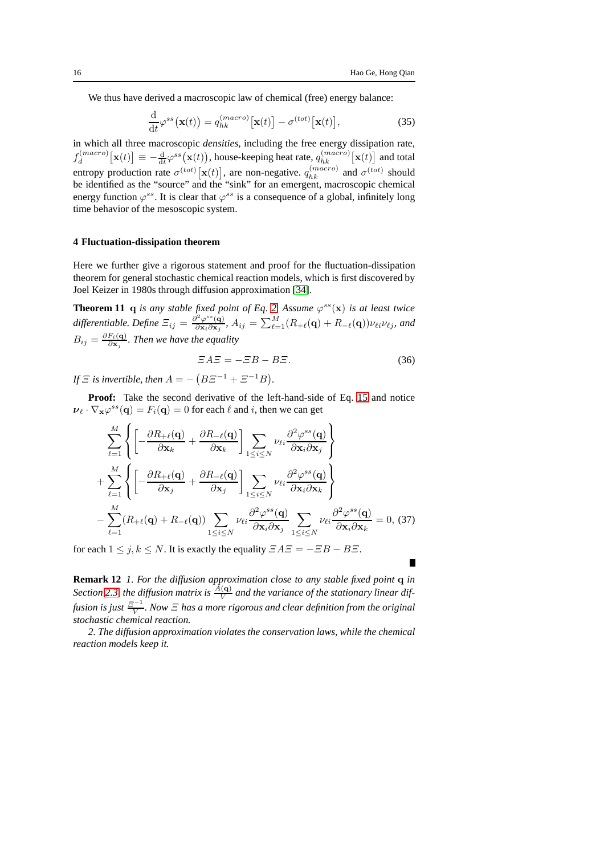We thus have derived a macroscopic law of chemical (free) energy balance:

<span id="page-15-1"></span>
$$
\frac{\mathrm{d}}{\mathrm{d}t}\varphi^{ss}\big(\mathbf{x}(t)\big) = q_{hk}^{(macro)}\big[\mathbf{x}(t)\big] - \sigma^{(tot)}\big[\mathbf{x}(t)\big],\tag{35}
$$

in which all three macroscopic *densities*, including the free energy dissipation rate,  $f_d^{(macro)}$  $\mathbf{d}_{d}^{(macro)}[\mathbf{x}(t)] \equiv -\frac{\mathrm{d}}{\mathrm{d}t} \varphi^{ss}(\mathbf{x}(t)),$  house-keeping heat rate,  $q_{hk}^{(macro)}[\mathbf{x}(t)]$  and total entropy production rate  $\sigma^{(tot)}[\mathbf{x}(t)]$ , are non-negative.  $q_{hk}^{(macro)}$  and  $\sigma^{(tot)}$  should be identified as the "source" and the "sink" for an emergent, macroscopic chemical energy function  $\varphi^{ss}$ . It is clear that  $\varphi^{ss}$  is a consequence of a global, infinitely long time behavior of the mesoscopic system.

#### <span id="page-15-0"></span>**4 Fluctuation-dissipation theorem**

Here we further give a rigorous statement and proof for the fluctuation-dissipation theorem for general stochastic chemical reaction models, which is first discovered by Joel Keizer in 1980s through diffusion approximation [\[34\]](#page-20-17).

**Theorem 11** q *is any stable fixed point of Eq.* [2.](#page-1-1) Assume  $\varphi^{ss}(\mathbf{x})$  *is at least twice* differentiable. Define  $\Xi_{ij} = \frac{\partial^2 \varphi^{ss}(\mathbf{q})}{\partial \mathbf{x}_i \partial \mathbf{x}_j}$  $\frac{\partial^2\varphi^{ss}({\bf q})}{\partial {\bf x}_i\partial {\bf x}_j}$ ,  $A_{ij}=\sum_{\ell=1}^M(R_{+\ell}({\bf q})+R_{-\ell}({\bf q}))\nu_{\ell i}\nu_{\ell j}$ , and  $B_{ij}=\frac{\partial F_{i}(\mathbf{q})}{\partial \mathbf{x}_{i}}$  $\frac{F_i(\mathbf{q})}{\partial \mathbf{x}_j}$ *. Then we have the equality* 

$$
\Xi A \Xi = -\Xi B - B\Xi. \tag{36}
$$

*If*  $\Xi$  *is invertible, then*  $A = (B\Xi^{-1} + \Xi^{-1}B)$ *.* 

**Proof:** Take the second derivative of the left-hand-side of Eq. [15](#page-7-0) and notice  $\nu_\ell \cdot \nabla_{\mathbf{x}} \varphi^{ss}(\mathbf{q}) = F_i(\mathbf{q}) = 0$  for each  $\ell$  and  $i$ , then we can get

$$
\sum_{\ell=1}^{M} \left\{ \left[ -\frac{\partial R_{+\ell}(\mathbf{q})}{\partial \mathbf{x}_{k}} + \frac{\partial R_{-\ell}(\mathbf{q})}{\partial \mathbf{x}_{k}} \right] \sum_{1 \leq i \leq N} \nu_{\ell i} \frac{\partial^{2} \varphi^{ss}(\mathbf{q})}{\partial \mathbf{x}_{i} \partial \mathbf{x}_{j}} \right\} \n+ \sum_{\ell=1}^{M} \left\{ \left[ -\frac{\partial R_{+\ell}(\mathbf{q})}{\partial \mathbf{x}_{j}} + \frac{\partial R_{-\ell}(\mathbf{q})}{\partial \mathbf{x}_{j}} \right] \sum_{1 \leq i \leq N} \nu_{\ell i} \frac{\partial^{2} \varphi^{ss}(\mathbf{q})}{\partial \mathbf{x}_{i} \partial \mathbf{x}_{k}} \right\} \n- \sum_{\ell=1}^{M} (R_{+\ell}(\mathbf{q}) + R_{-\ell}(\mathbf{q})) \sum_{1 \leq i \leq N} \nu_{\ell i} \frac{\partial^{2} \varphi^{ss}(\mathbf{q})}{\partial \mathbf{x}_{i} \partial \mathbf{x}_{j}} \sum_{1 \leq i \leq N} \nu_{\ell i} \frac{\partial^{2} \varphi^{ss}(\mathbf{q})}{\partial \mathbf{x}_{i} \partial \mathbf{x}_{k}} = 0, (37)
$$

for each  $1 \le j, k \le N$ . It is exactly the equality  $EAE = -EB - BE$ .

**Remark 12** *1. For the diffusion approximation close to any stable fixed point* q *in* Section [2.3,](#page-9-0) the diffusion matrix is  $\frac{A(\mathbf{q})}{V}$  and the variance of the stationary linear diffusion is just  $\frac{\Xi^{-1}}{V}$  $\frac{y-1}{V}$ . Now  $\Xi$  has a more rigorous and clear definition from the original *stochastic chemical reaction.*

*2. The diffusion approximation violates the conservation laws, while the chemical reaction models keep it.*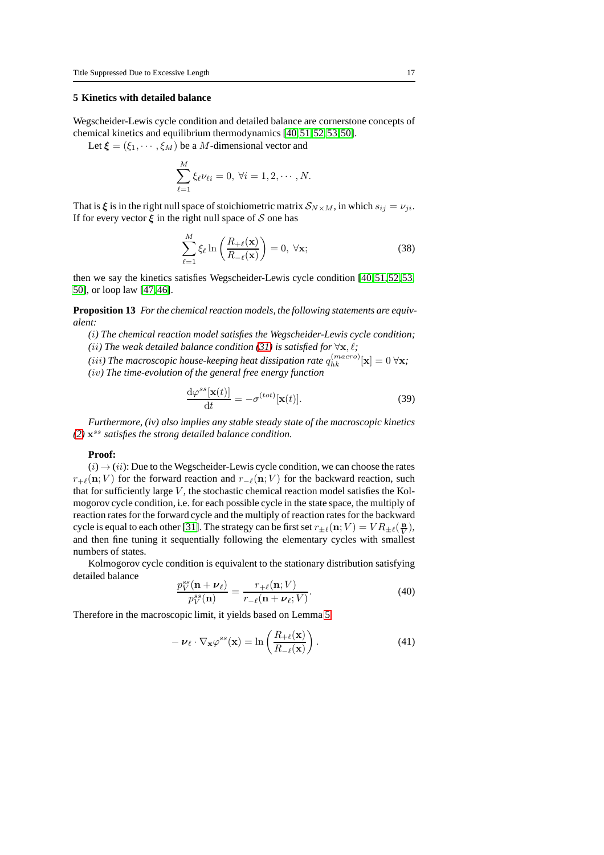## **5 Kinetics with detailed balance**

Wegscheider-Lewis cycle condition and detailed balance are cornerstone concepts of chemical kinetics and equilibrium thermodynamics [\[40,](#page-20-20)[51,](#page-21-2)[52,](#page-21-5)[53,](#page-21-6)[50\]](#page-21-7).

Let  $\xi = (\xi_1, \dots, \xi_M)$  be a M-dimensional vector and

$$
\sum_{\ell=1}^{M} \xi_{\ell} \nu_{\ell i} = 0, \ \forall i = 1, 2, \cdots, N.
$$

That is  $\xi$  is in the right null space of stoichiometric matrix  $S_{N\times M}$ , in which  $s_{ij} = \nu_{ji}$ . If for every vector  $\xi$  in the right null space of S one has

$$
\sum_{\ell=1}^{M} \xi_{\ell} \ln \left( \frac{R_{+\ell}(\mathbf{x})}{R_{-\ell}(\mathbf{x})} \right) = 0, \ \forall \mathbf{x};
$$
\n(38)

then we say the kinetics satisfies Wegscheider-Lewis cycle condition [\[40,](#page-20-20)[51,](#page-21-2)[52,](#page-21-5)[53,](#page-21-6) [50\]](#page-21-7), or loop law [\[47,](#page-21-8)[46\]](#page-21-4).

**Proposition 13** *For the chemical reaction models, the following statements are equivalent:*

- *(*i*) The chemical reaction model satisfies the Wegscheider-Lewis cycle condition; (ii)* The weak detailed balance condition [\(31\)](#page-14-0) is satisfied for  $\forall x, \ell$ ;
- (iii) The macroscopic house-keeping heat dissipation rate  $q_{hk}^{(macro)}[\mathbf{x}] = 0$   $\forall \mathbf{x}$ ;
- *(*iv*) The time-evolution of the general free energy function*

$$
\frac{\mathrm{d}\varphi^{ss}[\mathbf{x}(t)]}{\mathrm{d}t} = -\sigma^{(tot)}[\mathbf{x}(t)].
$$
\n(39)

*Furthermore, (iv) also implies any stable steady state of the macroscopic kinetics [\(2\)](#page-1-1)* x ss *satisfies the strong detailed balance condition.*

#### **Proof:**

 $(i) \rightarrow (ii)$ : Due to the Wegscheider-Lewis cycle condition, we can choose the rates  $r_{+\ell}(n; V)$  for the forward reaction and  $r_{-\ell}(n; V)$  for the backward reaction, such that for sufficiently large  $V$ , the stochastic chemical reaction model satisfies the Kolmogorov cycle condition, i.e. for each possible cycle in the state space, the multiply of reaction rates for the forward cycle and the multiply of reaction rates for the backward cycle is equal to each other [\[31\]](#page-20-21). The strategy can be first set  $r_{\pm\ell}(n;V) = VR_{\pm\ell}(\frac{n}{V}),$ and then fine tuning it sequentially following the elementary cycles with smallest numbers of states.

Kolmogorov cycle condition is equivalent to the stationary distribution satisfying detailed balance

$$
\frac{p_V^{ss}(\mathbf{n} + \boldsymbol{\nu}_{\ell})}{p_V^{ss}(\mathbf{n})} = \frac{r_{+\ell}(\mathbf{n}; V)}{r_{-\ell}(\mathbf{n} + \boldsymbol{\nu}_{\ell}; V)}.
$$
(40)

Therefore in the macroscopic limit, it yields based on Lemma [5](#page-5-1)

<span id="page-16-0"></span>
$$
-\nu_{\ell} \cdot \nabla_{\mathbf{x}} \varphi^{ss}(\mathbf{x}) = \ln \left( \frac{R_{+\ell}(\mathbf{x})}{R_{-\ell}(\mathbf{x})} \right). \tag{41}
$$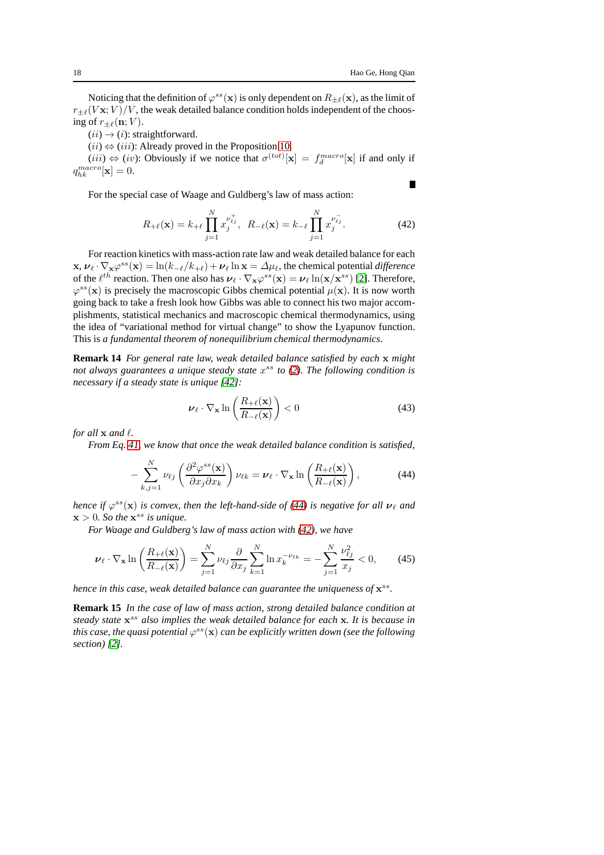$\blacksquare$ 

Noticing that the definition of  $\varphi^{ss}(\mathbf{x})$  is only dependent on  $R_{\pm\ell}(\mathbf{x})$ , as the limit of  $r_{\pm\ell}(V\mathbf{x};V)/V$ , the weak detailed balance condition holds independent of the choosing of  $r_{\pm\ell}(\mathbf{n}; V)$ .

 $(ii) \rightarrow (i)$ : straightforward.

 $(ii) \Leftrightarrow (iii)$ : Already proved in the Proposition [10.](#page-13-0)

 $(iii) \Leftrightarrow (iv)$ : Obviously if we notice that  $\sigma^{(tot)}[\mathbf{x}] = f_d^{macro}[\mathbf{x}]$  if and only if  $q_{hk}^{macro}[\mathbf{x}] = 0.$ 

For the special case of Waage and Guldberg's law of mass action:

<span id="page-17-1"></span>
$$
R_{+\ell}(\mathbf{x}) = k_{+\ell} \prod_{j=1}^{N} x_j^{\nu_{\ell j}^+}, \ \ R_{-\ell}(\mathbf{x}) = k_{-\ell} \prod_{j=1}^{N} x_j^{\nu_{\ell j}^-}.
$$
 (42)

For reaction kinetics with mass-action rate law and weak detailed balance for each  $\mathbf{x}, \boldsymbol{\nu}_{\ell} \cdot \nabla_{\mathbf{x}} \varphi^{ss}(\mathbf{x}) = \ln(k_{-\ell}/k_{+\ell}) + \boldsymbol{\nu}_{\ell} \ln \mathbf{x} = \Delta \mu_{\ell}$ , the chemical potential *difference* of the  $\ell^{th}$  reaction. Then one also has  $\boldsymbol{\nu}_{\ell} \cdot \nabla_{\mathbf{x}} \varphi^{ss}(\mathbf{x}) = \boldsymbol{\nu}_{\ell} \ln(\mathbf{x}/\mathbf{x}^{ss})$  [\[2\]](#page-19-4). Therefore,  $\varphi^{ss}(\mathbf{x})$  is precisely the macroscopic Gibbs chemical potential  $\mu(\mathbf{x})$ . It is now worth going back to take a fresh look how Gibbs was able to connect his two major accomplishments, statistical mechanics and macroscopic chemical thermodynamics, using the idea of "variational method for virtual change" to show the Lyapunov function. This is *a fundamental theorem of nonequilibrium chemical thermodynamics*.

**Remark 14** *For general rate law, weak detailed balance satisfied by each* x *might not always guarantees a unique steady state* x ss *to [\(2\)](#page-1-1). The following condition is necessary if a steady state is unique [\[42\]](#page-20-22):*

$$
\nu_{\ell} \cdot \nabla_{\mathbf{x}} \ln \left( \frac{R_{+\ell}(\mathbf{x})}{R_{-\ell}(\mathbf{x})} \right) < 0 \tag{43}
$$

*for all*  $\bf{x}$  *and*  $\ell$ *.* 

*From Eq. [41,](#page-16-0) we know that once the weak detailed balance condition is satisfied,*

<span id="page-17-0"></span>
$$
-\sum_{k,j=1}^{N} \nu_{\ell j} \left( \frac{\partial^2 \varphi^{ss}(\mathbf{x})}{\partial x_j \partial x_k} \right) \nu_{\ell k} = \nu_{\ell} \cdot \nabla_{\mathbf{x}} \ln \left( \frac{R_{+\ell}(\mathbf{x})}{R_{-\ell}(\mathbf{x})} \right),\tag{44}
$$

*hence if*  $\varphi^{ss}(\mathbf{x})$  *is convex, then the left-hand-side of* [\(44\)](#page-17-0) *is negative for all*  $\boldsymbol{\nu}_{\ell}$  *and*  $x > 0$ *. So the*  $x^{ss}$  *is unique.* 

*For Waage and Guldberg's law of mass action with [\(42\)](#page-17-1), we have*

$$
\nu_{\ell} \cdot \nabla_{\mathbf{x}} \ln \left( \frac{R_{+\ell}(\mathbf{x})}{R_{-\ell}(\mathbf{x})} \right) = \sum_{j=1}^{N} \nu_{\ell j} \frac{\partial}{\partial x_j} \sum_{k=1}^{N} \ln x_k^{-\nu_{\ell k}} = -\sum_{j=1}^{N} \frac{\nu_{\ell j}^2}{x_j} < 0,\qquad(45)
$$

hence in this case, weak detailed balance can guarantee the uniqueness of  $\mathbf{x}^{ss}$ .

**Remark 15** *In the case of law of mass action, strong detailed balance condition at steady state* x ss *also implies the weak detailed balance for each* x*. It is because in* this case, the quasi potential  $\varphi^{ss}(\mathbf{x})$  can be explicitly written down (see the following *section) [\[2\]](#page-19-4).*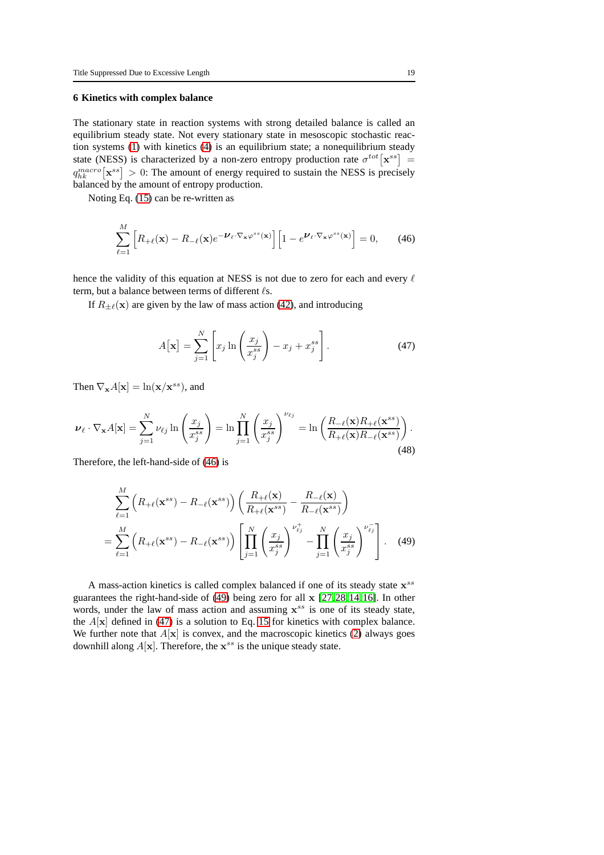#### **6 Kinetics with complex balance**

The stationary state in reaction systems with strong detailed balance is called an equilibrium steady state. Not every stationary state in mesoscopic stochastic reaction systems [\(1\)](#page-1-0) with kinetics [\(4\)](#page-2-0) is an equilibrium state; a nonequilibrium steady state (NESS) is characterized by a non-zero entropy production rate  $\sigma^{tot}[\mathbf{x}^{ss}]$  =  $q_{hk}^{macro}[\mathbf{x}^{ss}] > 0$ : The amount of energy required to sustain the NESS is precisely balanced by the amount of entropy production.

Noting Eq. [\(15\)](#page-7-0) can be re-written as

<span id="page-18-0"></span>
$$
\sum_{\ell=1}^{M} \left[ R_{+\ell}(\mathbf{x}) - R_{-\ell}(\mathbf{x}) e^{-\boldsymbol{\nu}_{\ell} \cdot \nabla_{\mathbf{x}} \varphi^{ss}(\mathbf{x})} \right] \left[ 1 - e^{\boldsymbol{\nu}_{\ell} \cdot \nabla_{\mathbf{x}} \varphi^{ss}(\mathbf{x})} \right] = 0, \qquad (46)
$$

hence the validity of this equation at NESS is not due to zero for each and every  $\ell$ term, but a balance between terms of different  $\ell$ s.

If  $R_{\pm\ell}(\mathbf{x})$  are given by the law of mass action [\(42\)](#page-17-1), and introducing

<span id="page-18-2"></span>
$$
A[\mathbf{x}] = \sum_{j=1}^{N} \left[ x_j \ln \left( \frac{x_j}{x_j^{ss}} \right) - x_j + x_j^{ss} \right].
$$
 (47)

Then  $\nabla_{\mathbf{x}} A[\mathbf{x}] = \ln(\mathbf{x}/\mathbf{x}^{ss})$ , and

$$
\nu_{\ell} \cdot \nabla_{\mathbf{x}} A[\mathbf{x}] = \sum_{j=1}^{N} \nu_{\ell j} \ln \left( \frac{x_j}{x_j^{ss}} \right) = \ln \prod_{j=1}^{N} \left( \frac{x_j}{x_j^{ss}} \right)^{\nu_{\ell j}} = \ln \left( \frac{R_{-\ell}(\mathbf{x}) R_{+\ell}(\mathbf{x}^{ss})}{R_{+\ell}(\mathbf{x}) R_{-\ell}(\mathbf{x}^{ss})} \right). \tag{48}
$$

Therefore, the left-hand-side of [\(46\)](#page-18-0) is

<span id="page-18-1"></span>
$$
\sum_{\ell=1}^{M} \left( R_{+\ell}(\mathbf{x}^{ss}) - R_{-\ell}(\mathbf{x}^{ss}) \right) \left( \frac{R_{+\ell}(\mathbf{x})}{R_{+\ell}(\mathbf{x}^{ss})} - \frac{R_{-\ell}(\mathbf{x})}{R_{-\ell}(\mathbf{x}^{ss})} \right)
$$
\n
$$
= \sum_{\ell=1}^{M} \left( R_{+\ell}(\mathbf{x}^{ss}) - R_{-\ell}(\mathbf{x}^{ss}) \right) \left[ \prod_{j=1}^{N} \left( \frac{x_j}{x_j^{ss}} \right)^{\nu_{\ell j}^+} - \prod_{j=1}^{N} \left( \frac{x_j}{x_j^{ss}} \right)^{\nu_{\ell j}^-} \right]. \quad (49)
$$

A mass-action kinetics is called complex balanced if one of its steady state  $x^{ss}$ guarantees the right-hand-side of [\(49\)](#page-18-1) being zero for all x [\[27,](#page-20-4)[28,](#page-20-5)[14,](#page-20-6)[16\]](#page-20-7). In other words, under the law of mass action and assuming  $x^{ss}$  is one of its steady state, the  $A[x]$  defined in [\(47\)](#page-18-2) is a solution to Eq. [15](#page-7-0) for kinetics with complex balance. We further note that  $A[x]$  is convex, and the macroscopic kinetics [\(2\)](#page-1-1) always goes downhill along  $A[x]$ . Therefore, the  $x^{ss}$  is the unique steady state.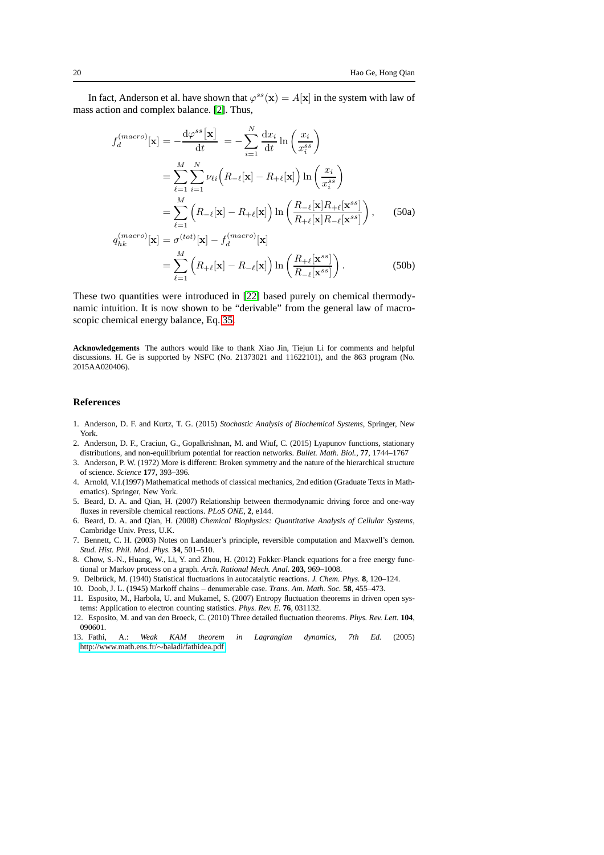In fact, Anderson et al. have shown that  $\varphi^{ss}(\mathbf{x}) = A[\mathbf{x}]$  in the system with law of mass action and complex balance. [\[2\]](#page-19-4). Thus,

$$
f_d^{(macro)}[\mathbf{x}] = -\frac{d\varphi^{ss}[\mathbf{x}]}{dt} = -\sum_{i=1}^{N} \frac{dx_i}{dt} \ln\left(\frac{x_i}{x_i^{ss}}\right)
$$
  
\n
$$
= \sum_{\ell=1}^{M} \sum_{i=1}^{N} \nu_{\ell i} \left(R_{-\ell}[\mathbf{x}] - R_{+\ell}[\mathbf{x}]\right) \ln\left(\frac{x_i}{x_i^{ss}}\right)
$$
  
\n
$$
= \sum_{\ell=1}^{M} \left(R_{-\ell}[\mathbf{x}] - R_{+\ell}[\mathbf{x}]\right) \ln\left(\frac{R_{-\ell}[\mathbf{x}]R_{+\ell}[\mathbf{x}^{ss}]}{R_{+\ell}[\mathbf{x}]R_{-\ell}[\mathbf{x}^{ss}]}\right), \qquad (50a)
$$
  
\n
$$
q_{hk}^{(macro)}[\mathbf{x}] = \sigma^{(tot)}[\mathbf{x}] - f_d^{(macro)}[\mathbf{x}]
$$

$$
= \sum_{\ell=1}^{M} \left( R_{+\ell}[\mathbf{x}] - R_{-\ell}[\mathbf{x}] \right) \ln \left( \frac{R_{+\ell}[\mathbf{x}^{ss}]}{R_{-\ell}[\mathbf{x}^{ss}]} \right).
$$
 (50b)

These two quantities were introduced in [\[22\]](#page-20-8) based purely on chemical thermodynamic intuition. It is now shown to be "derivable" from the general law of macroscopic chemical energy balance, Eq. [35.](#page-15-1)

**Acknowledgements** The authors would like to thank Xiao Jin, Tiejun Li for comments and helpful discussions. H. Ge is supported by NSFC (No. 21373021 and 11622101), and the 863 program (No. 2015AA020406).

#### **References**

- <span id="page-19-3"></span>1. Anderson, D. F. and Kurtz, T. G. (2015) *Stochastic Analysis of Biochemical Systems*, Springer, New York.
- <span id="page-19-4"></span>2. Anderson, D. F., Craciun, G., Gopalkrishnan, M. and Wiuf, C. (2015) Lyapunov functions, stationary distributions, and non-equilibrium potential for reaction networks. *Bullet. Math. Biol.*, **77**, 1744–1767
- 3. Anderson, P. W. (1972) More is different: Broken symmetry and the nature of the hierarchical structure of science. *Science* **177**, 393–396.
- <span id="page-19-5"></span>4. Arnold, V.I.(1997) Mathematical methods of classical mechanics, 2nd edition (Graduate Texts in Mathematics). Springer, New York.
- <span id="page-19-9"></span>5. Beard, D. A. and Qian, H. (2007) Relationship between thermodynamic driving force and one-way fluxes in reversible chemical reactions. *PLoS ONE*, **2**, e144.
- <span id="page-19-2"></span>6. Beard, D. A. and Qian, H. (2008) *Chemical Biophysics: Quantitative Analysis of Cellular Systems*, Cambridge Univ. Press, U.K.
- 7. Bennett, C. H. (2003) Notes on Landauer's principle, reversible computation and Maxwell's demon. *Stud. Hist. Phil. Mod. Phys.* **34**, 501–510.
- 8. Chow, S.-N., Huang, W., Li, Y. and Zhou, H. (2012) Fokker-Planck equations for a free energy functional or Markov process on a graph. *Arch. Rational Mech. Anal.* **203**, 969–1008.
- <span id="page-19-1"></span><span id="page-19-0"></span>9. Delbrück, M. (1940) Statistical fluctuations in autocatalytic reactions. *J. Chem. Phys.* 8, 120–124.
- <span id="page-19-7"></span>10. Doob, J. L. (1945) Markoff chains – denumerable case. *Trans. Am. Math. Soc.* **58**, 455–473.
- 11. Esposito, M., Harbola, U. and Mukamel, S. (2007) Entropy fluctuation theorems in driven open systems: Application to electron counting statistics. *Phys. Rev. E.* **76**, 031132.
- <span id="page-19-8"></span>12. Esposito, M. and van den Broeck, C. (2010) Three detailed fluctuation theorems. *Phys. Rev. Lett.* **104**, 090601.
- <span id="page-19-6"></span>13. Fathi, A.: *Weak KAM theorem in Lagrangian dynamics, 7th Ed.* (2005) [http://www.math.ens.fr/](http://www.math.ens.fr/~baladi/fathidea.pdf)∼baladi/fathidea.pdf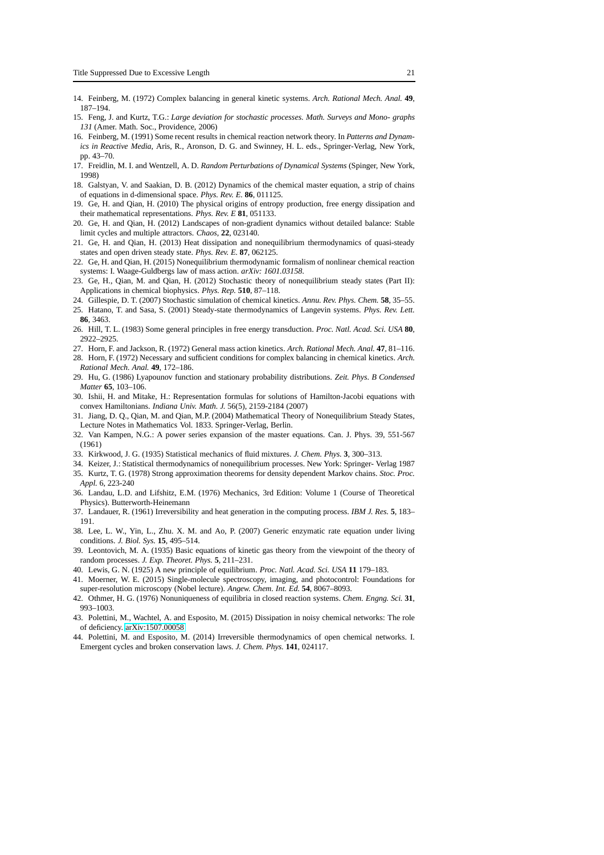- <span id="page-20-14"></span><span id="page-20-6"></span>14. Feinberg, M. (1972) Complex balancing in general kinetic systems. *Arch. Rational Mech. Anal.* **49**, 187–194.
- <span id="page-20-7"></span>15. Feng, J. and Kurtz, T.G.: *Large deviation for stochastic processes. Math. Surveys and Mono- graphs 131* (Amer. Math. Soc., Providence, 2006)
- 16. Feinberg, M. (1991) Some recent results in chemical reaction network theory. In *Patterns and Dynamics in Reactive Media*, Aris, R., Aronson, D. G. and Swinney, H. L. eds., Springer-Verlag, New York, pp. 43–70.
- <span id="page-20-10"></span>17. Freidlin, M. I. and Wentzell, A. D. *Random Perturbations of Dynamical Systems* (Spinger, New York, 1998)
- <span id="page-20-12"></span>18. Galstyan, V. and Saakian, D. B. (2012) Dynamics of the chemical master equation, a strip of chains of equations in d-dimensional space. *Phys. Rev. E.* **86**, 011125.
- <span id="page-20-9"></span>19. Ge, H. and Qian, H. (2010) The physical origins of entropy production, free energy dissipation and their mathematical representations. *Phys. Rev. E* **81**, 051133.
- 20. Ge, H. and Qian, H. (2012) Landscapes of non-gradient dynamics without detailed balance: Stable limit cycles and multiple attractors. *Chaos*, **22**, 023140.
- <span id="page-20-19"></span>21. Ge, H. and Qian, H. (2013) Heat dissipation and nonequilibrium thermodynamics of quasi-steady states and open driven steady state. *Phys. Rev. E.* **87**, 062125.
- <span id="page-20-8"></span>22. Ge, H. and Qian, H. (2015) Nonequilibrium thermodynamic formalism of nonlinear chemical reaction systems: I. Waage-Guldbergs law of mass action. *arXiv: 1601.03158*.
- 23. Ge, H., Qian, M. and Qian, H. (2012) Stochastic theory of nonequilibrium steady states (Part II): Applications in chemical biophysics. *Phys. Rep.* **510**, 87–118.
- <span id="page-20-18"></span><span id="page-20-2"></span>24. Gillespie, D. T. (2007) Stochastic simulation of chemical kinetics. *Annu. Rev. Phys. Chem.* **58**, 35–55. 25. Hatano, T. and Sasa, S. (2001) Steady-state thermodynamics of Langevin systems. *Phys. Rev. Lett.*
- **86**, 3463. 26. Hill, T. L. (1983) Some general principles in free energy transduction. *Proc. Natl. Acad. Sci. USA* **80**,
- <span id="page-20-4"></span>2922–2925. 27. Horn, F. and Jackson, R. (1972) General mass action kinetics. *Arch. Rational Mech. Anal.* **47**, 81–116.
- <span id="page-20-5"></span>28. Horn, F. (1972) Necessary and sufficient conditions for complex balancing in chemical kinetics. *Arch. Rational Mech. Anal.* **49**, 172–186.
- <span id="page-20-11"></span>29. Hu, G. (1986) Lyapounov function and stationary probability distributions. *Zeit. Phys. B Condensed Matter* **65**, 103–106.
- <span id="page-20-15"></span>30. Ishii, H. and Mitake, H.: Representation formulas for solutions of Hamilton-Jacobi equations with convex Hamiltonians. *Indiana Univ. Math. J.* 56(5), 2159-2184 (2007)
- <span id="page-20-21"></span>31. Jiang, D. Q., Qian, M. and Qian, M.P. (2004) Mathematical Theory of Nonequilibrium Steady States, Lecture Notes in Mathematics Vol. 1833. Springer-Verlag, Berlin.
- <span id="page-20-16"></span>32. Van Kampen, N.G.: A power series expansion of the master equations. Can. J. Phys. 39, 551-567 (1961)
- <span id="page-20-17"></span>33. Kirkwood, J. G. (1935) Statistical mechanics of fluid mixtures. *J. Chem. Phys.* **3**, 300–313.
- <span id="page-20-3"></span>34. Keizer, J.: Statistical thermodynamics of nonequilibrium processes. New York: Springer- Verlag 1987
- 35. Kurtz, T. G. (1978) Strong approximation theorems for density dependent Markov chains. *Stoc. Proc. Appl.* 6, 223-240
- <span id="page-20-13"></span>36. Landau, L.D. and Lifshitz, E.M. (1976) Mechanics, 3rd Edition: Volume 1 (Course of Theoretical Physics). Butterworth-Heinemann
- 37. Landauer, R. (1961) Irreversibility and heat generation in the computing process. *IBM J. Res.* **5**, 183– 191.
- 38. Lee, L. W., Yin, L., Zhu. X. M. and Ao, P. (2007) Generic enzymatic rate equation under living conditions. *J. Biol. Sys.* **15**, 495–514.
- <span id="page-20-1"></span>39. Leontovich, M. A. (1935) Basic equations of kinetic gas theory from the viewpoint of the theory of random processes. *J. Exp. Theoret. Phys.* **5**, 211–231.
- <span id="page-20-20"></span><span id="page-20-0"></span>40. Lewis, G. N. (1925) A new principle of equilibrium. *Proc. Natl. Acad. Sci. USA* **11** 179–183.
- 41. Moerner, W. E. (2015) Single-molecule spectroscopy, imaging, and photocontrol: Foundations for super-resolution microscopy (Nobel lecture). *Angew. Chem. Int. Ed.* **54**, 8067–8093.
- <span id="page-20-22"></span>42. Othmer, H. G. (1976) Nonuniqueness of equilibria in closed reaction systems. *Chem. Engng. Sci.* **31**, 993–1003.
- 43. Polettini, M., Wachtel, A. and Esposito, M. (2015) Dissipation in noisy chemical networks: The role of deficiency. [arXiv:1507.00058](http://arxiv.org/abs/1507.00058)
- 44. Polettini, M. and Esposito, M. (2014) Irreversible thermodynamics of open chemical networks. I. Emergent cycles and broken conservation laws. *J. Chem. Phys.* **141**, 024117.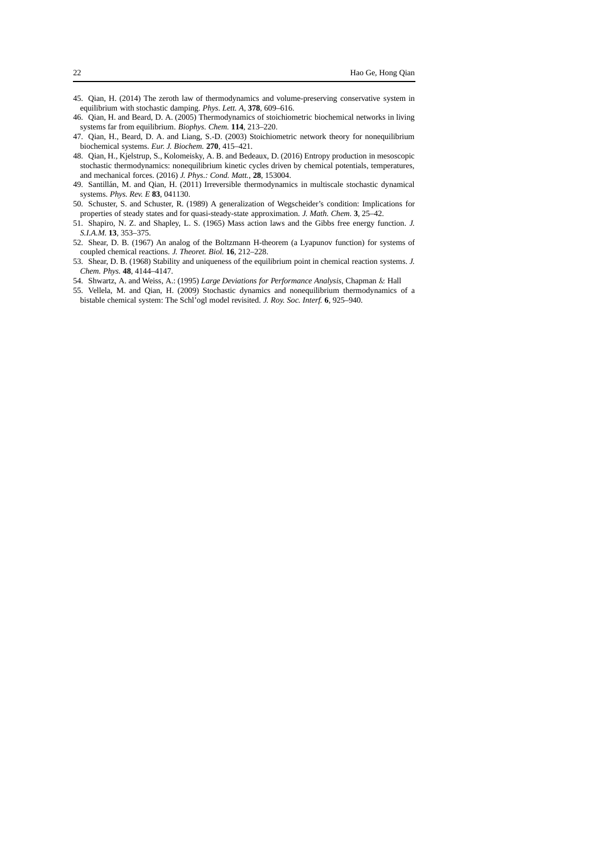- <span id="page-21-0"></span>45. Qian, H. (2014) The zeroth law of thermodynamics and volume-preserving conservative system in equilibrium with stochastic damping. *Phys. Lett. A*, **378**, 609–616.
- <span id="page-21-4"></span>46. Qian, H. and Beard, D. A. (2005) Thermodynamics of stoichiometric biochemical networks in living systems far from equilibrium. *Biophys. Chem.* **114**, 213–220.
- <span id="page-21-8"></span>47. Qian, H., Beard, D. A. and Liang, S.-D. (2003) Stoichiometric network theory for nonequilibrium biochemical systems. *Eur. J. Biochem.* **270**, 415–421.
- <span id="page-21-1"></span>48. Qian, H., Kjelstrup, S., Kolomeisky, A. B. and Bedeaux, D. (2016) Entropy production in mesoscopic stochastic thermodynamics: nonequilibrium kinetic cycles driven by chemical potentials, temperatures, and mechanical forces. (2016) *J. Phys.: Cond. Matt.*, **28**, 153004.
- 49. Santillán, M. and Qian, H. (2011) Irreversible thermodynamics in multiscale stochastic dynamical systems. *Phys. Rev. E* **83**, 041130.
- <span id="page-21-7"></span>50. Schuster, S. and Schuster, R. (1989) A generalization of Wegscheider's condition: Implications for properties of steady states and for quasi-steady-state approximation. *J. Math. Chem.* **3**, 25–42.
- <span id="page-21-2"></span>51. Shapiro, N. Z. and Shapley, L. S. (1965) Mass action laws and the Gibbs free energy function. *J. S.I.A.M.* **13**, 353–375.
- <span id="page-21-5"></span>52. Shear, D. B. (1967) An analog of the Boltzmann H-theorem (a Lyapunov function) for systems of coupled chemical reactions. *J. Theoret. Biol.* **16**, 212–228.
- <span id="page-21-6"></span>53. Shear, D. B. (1968) Stability and uniqueness of the equilibrium point in chemical reaction systems. *J. Chem. Phys.* **48**, 4144–4147.
- <span id="page-21-3"></span>54. Shwartz, A. and Weiss, A.: (1995) *Large Deviations for Performance Analysis*, Chapman & Hall 55. Vellela, M. and Qian, H. (2009) Stochastic dynamics and nonequilibrium thermodynamics of a
- bistable chemical system: The Schl´'ogl model revisited. *J. Roy. Soc. Interf.* **6**, 925–940.